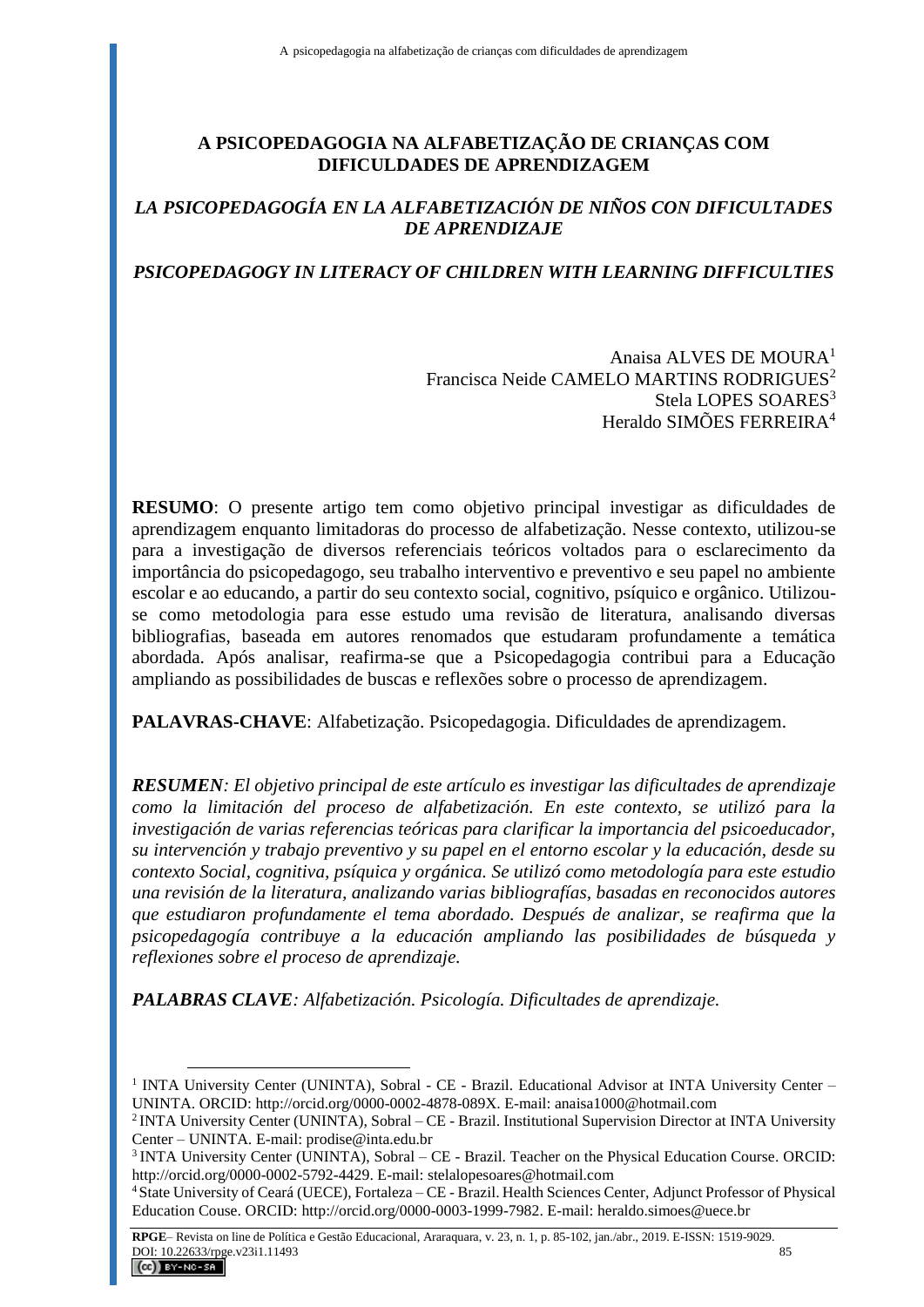# **A PSICOPEDAGOGIA NA ALFABETIZAÇÃO DE CRIANÇAS COM DIFICULDADES DE APRENDIZAGEM**

## *LA PSICOPEDAGOGÍA EN LA ALFABETIZACIÓN DE NIÑOS CON DIFICULTADES DE APRENDIZAJE*

# *PSICOPEDAGOGY IN LITERACY OF CHILDREN WITH LEARNING DIFFICULTIES*

Anaisa ALVES DE MOURA<sup>1</sup> Francisca Neide CAMELO MARTINS RODRIGUES<sup>2</sup> Stela LOPES SOARES<sup>3</sup> Heraldo SIMÕES FERREIRA<sup>4</sup>

**RESUMO**: O presente artigo tem como objetivo principal investigar as dificuldades de aprendizagem enquanto limitadoras do processo de alfabetização. Nesse contexto, utilizou-se para a investigação de diversos referenciais teóricos voltados para o esclarecimento da importância do psicopedagogo, seu trabalho interventivo e preventivo e seu papel no ambiente escolar e ao educando, a partir do seu contexto social, cognitivo, psíquico e orgânico. Utilizouse como metodologia para esse estudo uma revisão de literatura, analisando diversas bibliografias, baseada em autores renomados que estudaram profundamente a temática abordada. Após analisar, reafirma-se que a Psicopedagogia contribui para a Educação ampliando as possibilidades de buscas e reflexões sobre o processo de aprendizagem.

**PALAVRAS-CHAVE**: Alfabetização. Psicopedagogia. Dificuldades de aprendizagem.

*RESUMEN: El objetivo principal de este artículo es investigar las dificultades de aprendizaje como la limitación del proceso de alfabetización. En este contexto, se utilizó para la investigación de varias referencias teóricas para clarificar la importancia del psicoeducador, su intervención y trabajo preventivo y su papel en el entorno escolar y la educación, desde su contexto Social, cognitiva, psíquica y orgánica. Se utilizó como metodología para este estudio una revisión de la literatura, analizando varias bibliografías, basadas en reconocidos autores que estudiaron profundamente el tema abordado. Después de analizar, se reafirma que la psicopedagogía contribuye a la educación ampliando las posibilidades de búsqueda y reflexiones sobre el proceso de aprendizaje.*

*PALABRAS CLAVE: Alfabetización. Psicología. Dificultades de aprendizaje.*

<sup>&</sup>lt;sup>1</sup> INTA University Center (UNINTA), Sobral - CE - Brazil. Educational Advisor at INTA University Center -UNINTA. ORCID: http://orcid.org/0000-0002-4878-089X. E-mail: anaisa1000@hotmail.com

<sup>2</sup>INTA University Center (UNINTA), Sobral – CE - Brazil. Institutional Supervision Director at INTA University Center – UNINTA. E-mail: prodise@inta.edu.br

<sup>3</sup>INTA University Center (UNINTA), Sobral – CE - Brazil. Teacher on the Physical Education Course. ORCID: http://orcid.org/0000-0002-5792-4429. E-mail: stelalopesoares@hotmail.com

<sup>4</sup>State University of Ceará (UECE), Fortaleza – CE - Brazil. Health Sciences Center, Adjunct Professor of Physical Education Couse. ORCID: http://orcid.org/0000-0003-1999-7982. E-mail: heraldo.simoes@uece.br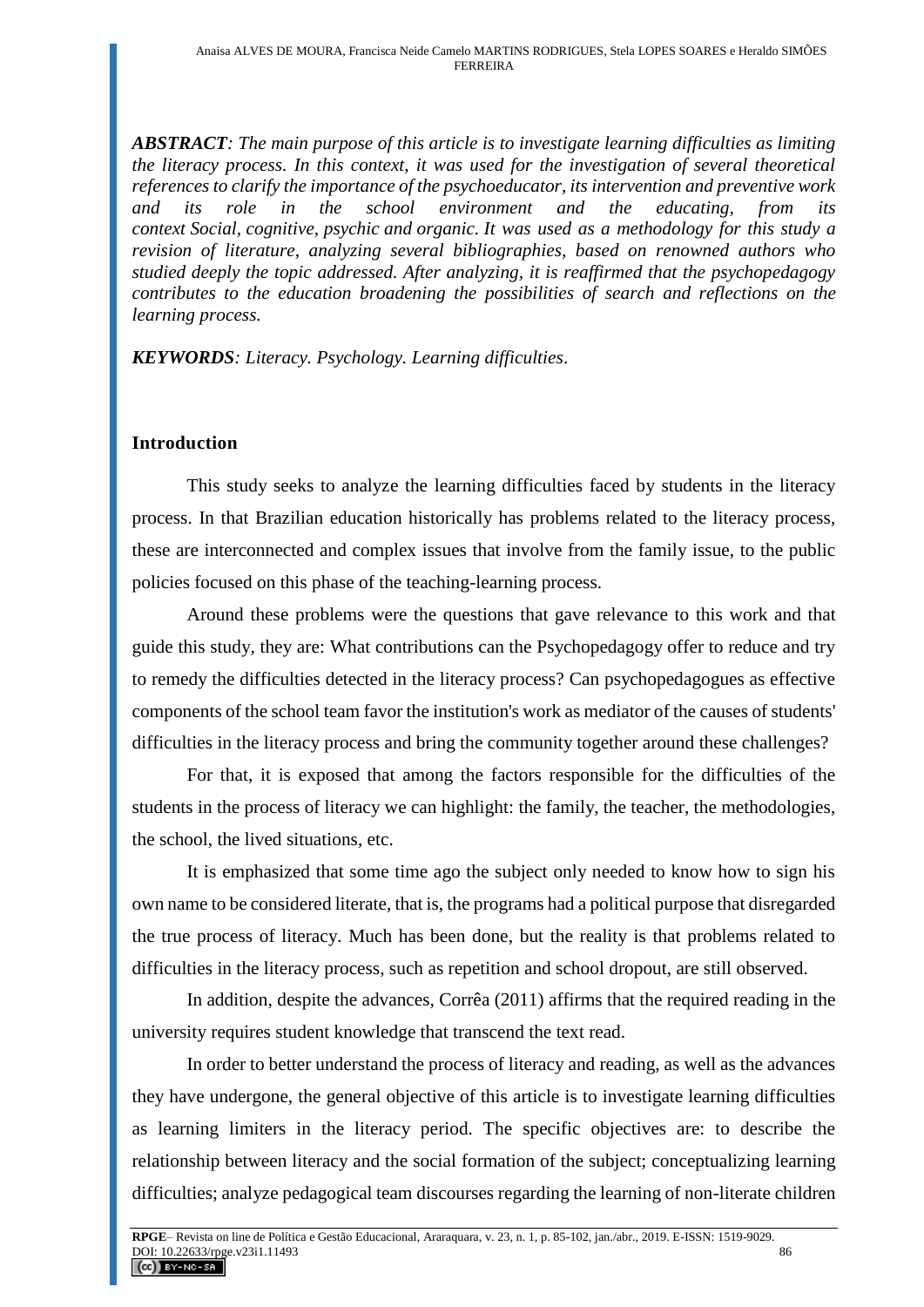*ABSTRACT: The main purpose of this article is to investigate learning difficulties as limiting the literacy process. In this context, it was used for the investigation of several theoretical references to clarify the importance of the psychoeducator, its intervention and preventive work and its role in the school environment and the educating, from its context Social, cognitive, psychic and organic. It was used as a methodology for this study a revision of literature, analyzing several bibliographies, based on renowned authors who studied deeply the topic addressed. After analyzing, it is reaffirmed that the psychopedagogy contributes to the education broadening the possibilities of search and reflections on the learning process.*

*KEYWORDS: Literacy. Psychology. Learning difficulties*.

#### **Introduction**

This study seeks to analyze the learning difficulties faced by students in the literacy process. In that Brazilian education historically has problems related to the literacy process, these are interconnected and complex issues that involve from the family issue, to the public policies focused on this phase of the teaching-learning process.

Around these problems were the questions that gave relevance to this work and that guide this study, they are: What contributions can the Psychopedagogy offer to reduce and try to remedy the difficulties detected in the literacy process? Can psychopedagogues as effective components of the school team favor the institution's work as mediator of the causes of students' difficulties in the literacy process and bring the community together around these challenges?

For that, it is exposed that among the factors responsible for the difficulties of the students in the process of literacy we can highlight: the family, the teacher, the methodologies, the school, the lived situations, etc.

It is emphasized that some time ago the subject only needed to know how to sign his own name to be considered literate, that is, the programs had a political purpose that disregarded the true process of literacy. Much has been done, but the reality is that problems related to difficulties in the literacy process, such as repetition and school dropout, are still observed.

In addition, despite the advances, Corrêa (2011) affirms that the required reading in the university requires student knowledge that transcend the text read.

In order to better understand the process of literacy and reading, as well as the advances they have undergone, the general objective of this article is to investigate learning difficulties as learning limiters in the literacy period. The specific objectives are: to describe the relationship between literacy and the social formation of the subject; conceptualizing learning difficulties; analyze pedagogical team discourses regarding the learning of non-literate children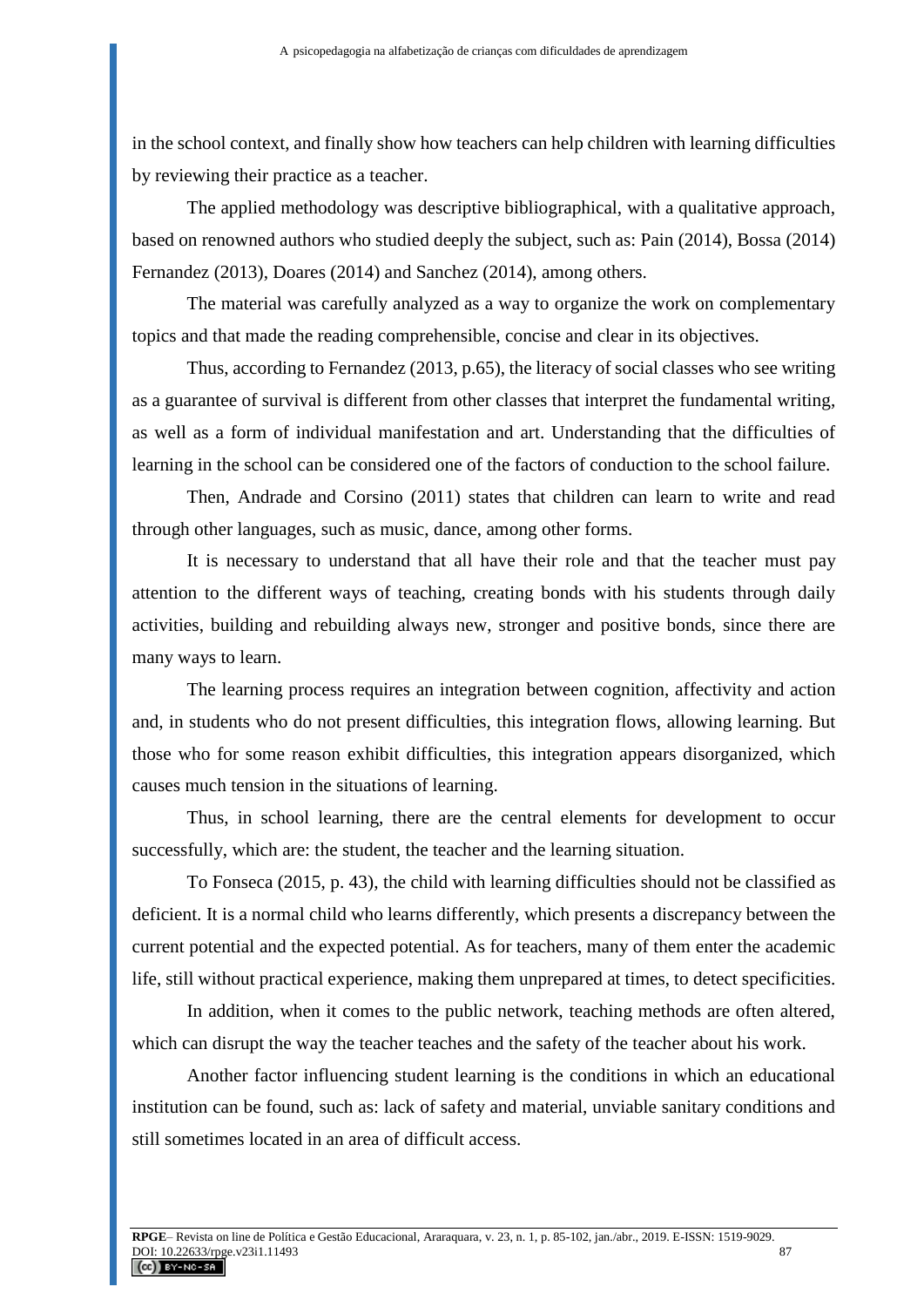in the school context, and finally show how teachers can help children with learning difficulties by reviewing their practice as a teacher.

The applied methodology was descriptive bibliographical, with a qualitative approach, based on renowned authors who studied deeply the subject, such as: Pain (2014), Bossa (2014) Fernandez (2013), Doares (2014) and Sanchez (2014), among others.

The material was carefully analyzed as a way to organize the work on complementary topics and that made the reading comprehensible, concise and clear in its objectives.

Thus, according to Fernandez (2013, p.65), the literacy of social classes who see writing as a guarantee of survival is different from other classes that interpret the fundamental writing, as well as a form of individual manifestation and art. Understanding that the difficulties of learning in the school can be considered one of the factors of conduction to the school failure.

Then, Andrade and Corsino (2011) states that children can learn to write and read through other languages, such as music, dance, among other forms.

It is necessary to understand that all have their role and that the teacher must pay attention to the different ways of teaching, creating bonds with his students through daily activities, building and rebuilding always new, stronger and positive bonds, since there are many ways to learn.

The learning process requires an integration between cognition, affectivity and action and, in students who do not present difficulties, this integration flows, allowing learning. But those who for some reason exhibit difficulties, this integration appears disorganized, which causes much tension in the situations of learning.

Thus, in school learning, there are the central elements for development to occur successfully, which are: the student, the teacher and the learning situation.

To Fonseca (2015, p. 43), the child with learning difficulties should not be classified as deficient. It is a normal child who learns differently, which presents a discrepancy between the current potential and the expected potential. As for teachers, many of them enter the academic life, still without practical experience, making them unprepared at times, to detect specificities.

In addition, when it comes to the public network, teaching methods are often altered, which can disrupt the way the teacher teaches and the safety of the teacher about his work.

Another factor influencing student learning is the conditions in which an educational institution can be found, such as: lack of safety and material, unviable sanitary conditions and still sometimes located in an area of difficult access.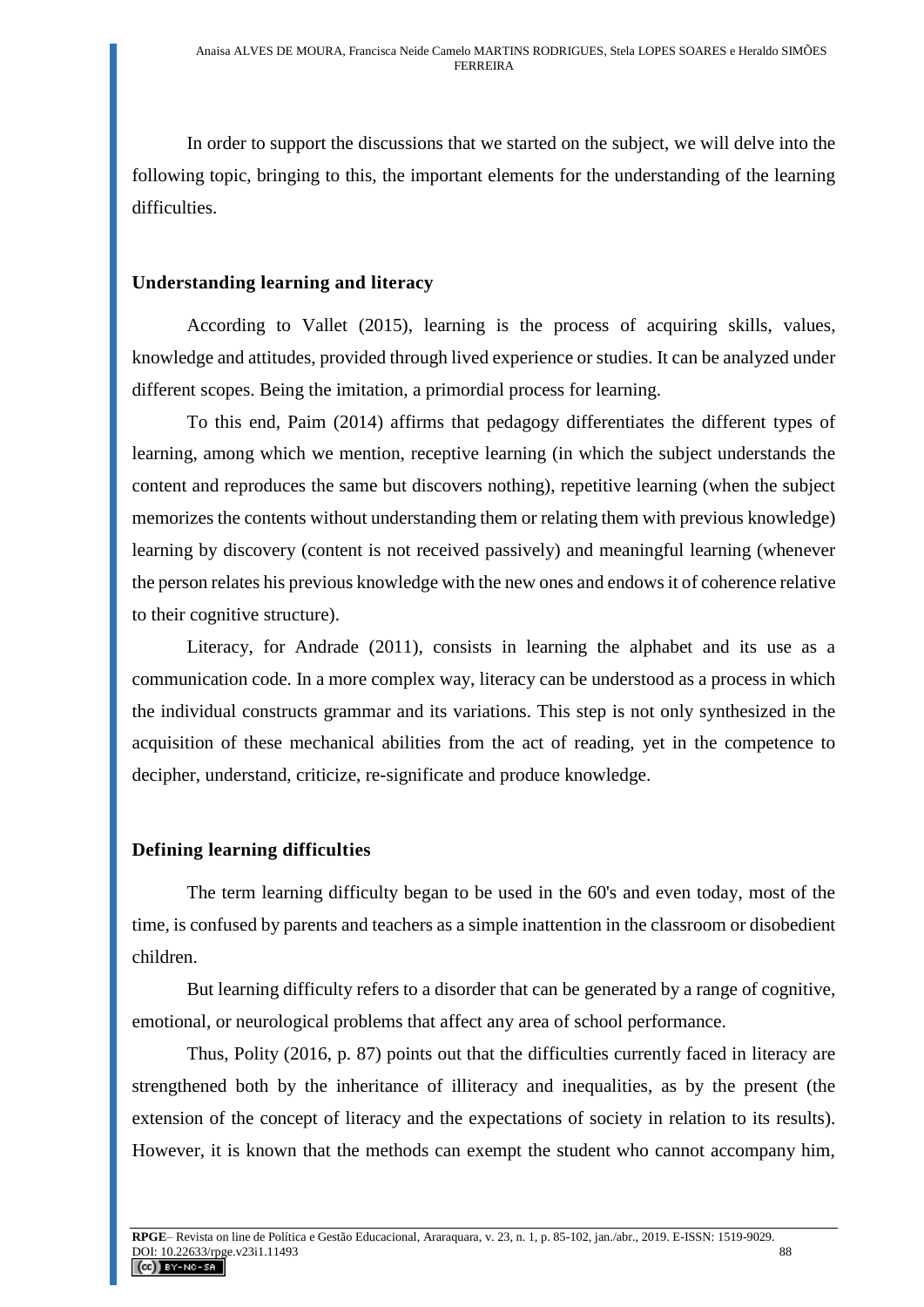In order to support the discussions that we started on the subject, we will delve into the following topic, bringing to this, the important elements for the understanding of the learning difficulties.

## **Understanding learning and literacy**

According to Vallet (2015), learning is the process of acquiring skills, values, knowledge and attitudes, provided through lived experience or studies. It can be analyzed under different scopes. Being the imitation, a primordial process for learning.

To this end, Paim (2014) affirms that pedagogy differentiates the different types of learning, among which we mention, receptive learning (in which the subject understands the content and reproduces the same but discovers nothing), repetitive learning (when the subject memorizes the contents without understanding them or relating them with previous knowledge) learning by discovery (content is not received passively) and meaningful learning (whenever the person relates his previous knowledge with the new ones and endows it of coherence relative to their cognitive structure).

Literacy, for Andrade (2011), consists in learning the alphabet and its use as a communication code. In a more complex way, literacy can be understood as a process in which the individual constructs grammar and its variations. This step is not only synthesized in the acquisition of these mechanical abilities from the act of reading, yet in the competence to decipher, understand, criticize, re-significate and produce knowledge.

## **Defining learning difficulties**

The term learning difficulty began to be used in the 60's and even today, most of the time, is confused by parents and teachers as a simple inattention in the classroom or disobedient children.

But learning difficulty refers to a disorder that can be generated by a range of cognitive, emotional, or neurological problems that affect any area of school performance.

Thus, Polity (2016, p. 87) points out that the difficulties currently faced in literacy are strengthened both by the inheritance of illiteracy and inequalities, as by the present (the extension of the concept of literacy and the expectations of society in relation to its results). However, it is known that the methods can exempt the student who cannot accompany him,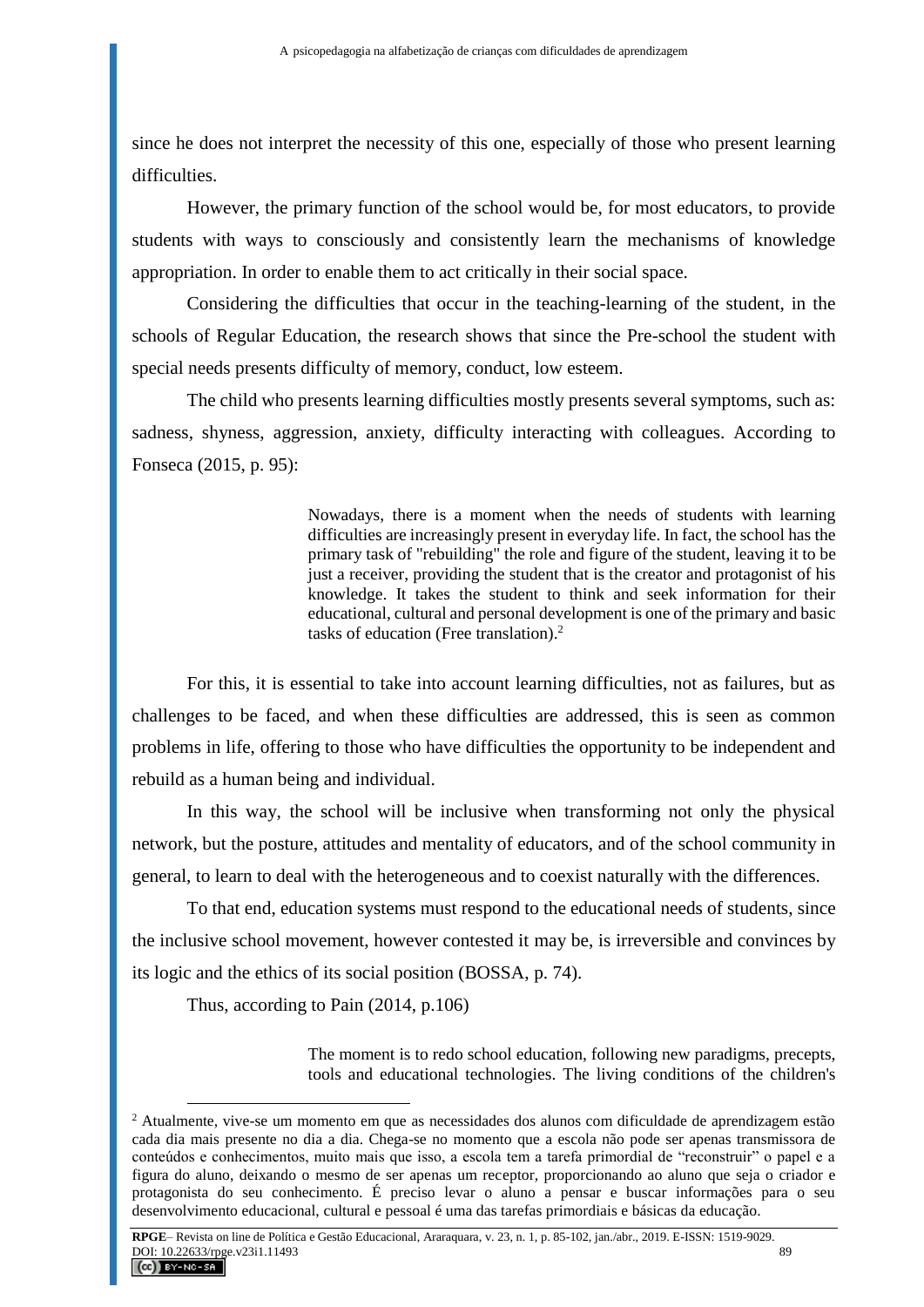since he does not interpret the necessity of this one, especially of those who present learning difficulties.

However, the primary function of the school would be, for most educators, to provide students with ways to consciously and consistently learn the mechanisms of knowledge appropriation. In order to enable them to act critically in their social space.

Considering the difficulties that occur in the teaching-learning of the student, in the schools of Regular Education, the research shows that since the Pre-school the student with special needs presents difficulty of memory, conduct, low esteem.

The child who presents learning difficulties mostly presents several symptoms, such as: sadness, shyness, aggression, anxiety, difficulty interacting with colleagues. According to Fonseca (2015, p. 95):

> Nowadays, there is a moment when the needs of students with learning difficulties are increasingly present in everyday life. In fact, the school has the primary task of "rebuilding" the role and figure of the student, leaving it to be just a receiver, providing the student that is the creator and protagonist of his knowledge. It takes the student to think and seek information for their educational, cultural and personal development is one of the primary and basic tasks of education (Free translation). $<sup>2</sup>$ </sup>

For this, it is essential to take into account learning difficulties, not as failures, but as challenges to be faced, and when these difficulties are addressed, this is seen as common problems in life, offering to those who have difficulties the opportunity to be independent and rebuild as a human being and individual.

In this way, the school will be inclusive when transforming not only the physical network, but the posture, attitudes and mentality of educators, and of the school community in general, to learn to deal with the heterogeneous and to coexist naturally with the differences.

To that end, education systems must respond to the educational needs of students, since the inclusive school movement, however contested it may be, is irreversible and convinces by its logic and the ethics of its social position (BOSSA, p. 74).

Thus, according to Pain (2014, p.106)

 $\overline{a}$ 

The moment is to redo school education, following new paradigms, precepts, tools and educational technologies. The living conditions of the children's

<sup>2</sup> Atualmente, vive-se um momento em que as necessidades dos alunos com dificuldade de aprendizagem estão cada dia mais presente no dia a dia. Chega-se no momento que a escola não pode ser apenas transmissora de conteúdos e conhecimentos, muito mais que isso, a escola tem a tarefa primordial de "reconstruir" o papel e a figura do aluno, deixando o mesmo de ser apenas um receptor, proporcionando ao aluno que seja o criador e protagonista do seu conhecimento. É preciso levar o aluno a pensar e buscar informações para o seu desenvolvimento educacional, cultural e pessoal é uma das tarefas primordiais e básicas da educação.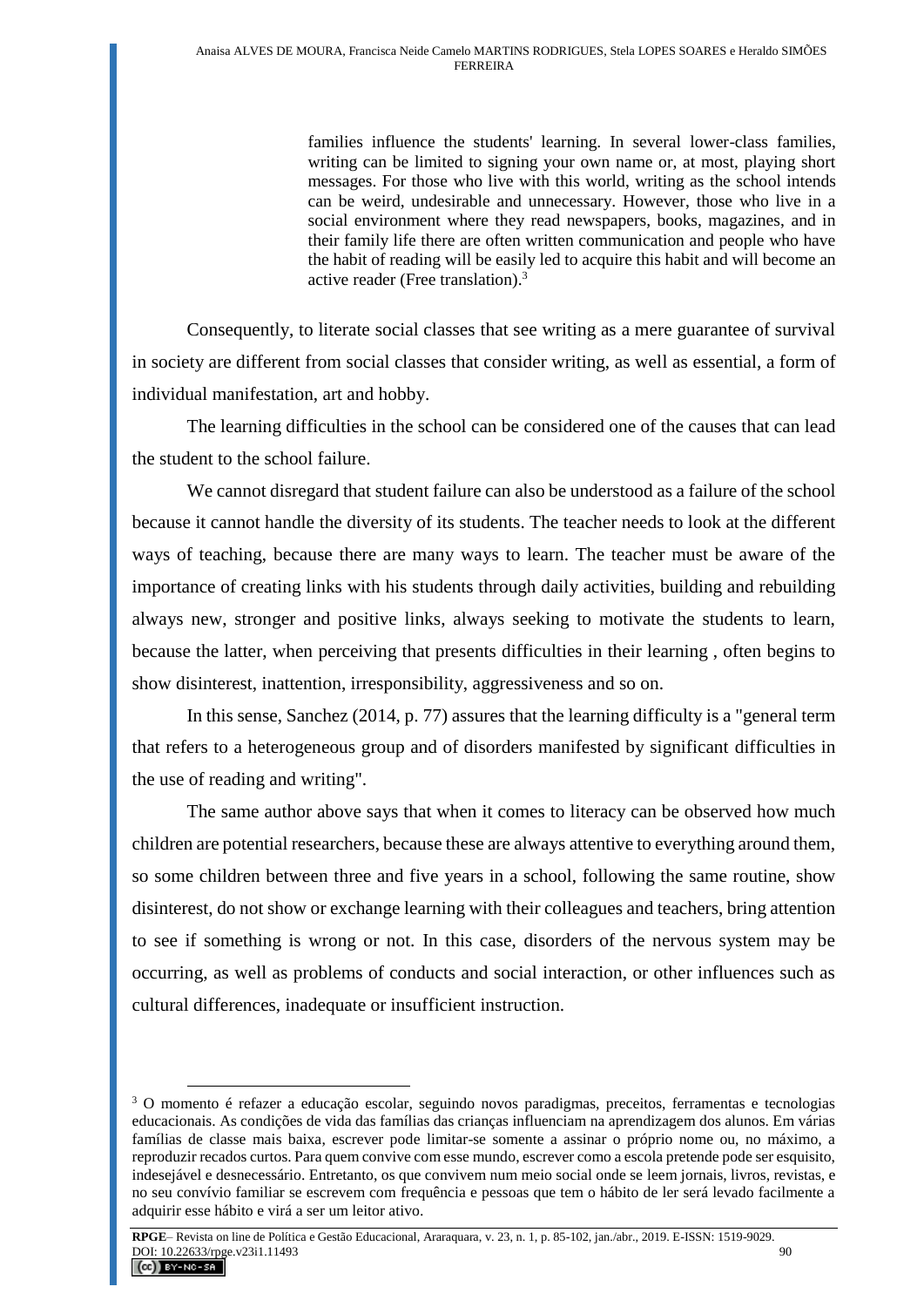families influence the students' learning. In several lower-class families, writing can be limited to signing your own name or, at most, playing short messages. For those who live with this world, writing as the school intends can be weird, undesirable and unnecessary. However, those who live in a social environment where they read newspapers, books, magazines, and in their family life there are often written communication and people who have the habit of reading will be easily led to acquire this habit and will become an active reader (Free translation). 3

Consequently, to literate social classes that see writing as a mere guarantee of survival in society are different from social classes that consider writing, as well as essential, a form of individual manifestation, art and hobby.

The learning difficulties in the school can be considered one of the causes that can lead the student to the school failure.

We cannot disregard that student failure can also be understood as a failure of the school because it cannot handle the diversity of its students. The teacher needs to look at the different ways of teaching, because there are many ways to learn. The teacher must be aware of the importance of creating links with his students through daily activities, building and rebuilding always new, stronger and positive links, always seeking to motivate the students to learn, because the latter, when perceiving that presents difficulties in their learning , often begins to show disinterest, inattention, irresponsibility, aggressiveness and so on.

In this sense, Sanchez (2014, p. 77) assures that the learning difficulty is a "general term that refers to a heterogeneous group and of disorders manifested by significant difficulties in the use of reading and writing".

The same author above says that when it comes to literacy can be observed how much children are potential researchers, because these are always attentive to everything around them, so some children between three and five years in a school, following the same routine, show disinterest, do not show or exchange learning with their colleagues and teachers, bring attention to see if something is wrong or not. In this case, disorders of the nervous system may be occurring, as well as problems of conducts and social interaction, or other influences such as cultural differences, inadequate or insufficient instruction.

<sup>3</sup> O momento é refazer a educação escolar, seguindo novos paradigmas, preceitos, ferramentas e tecnologias educacionais. As condições de vida das famílias das crianças influenciam na aprendizagem dos alunos. Em várias famílias de classe mais baixa, escrever pode limitar-se somente a assinar o próprio nome ou, no máximo, a reproduzir recados curtos. Para quem convive com esse mundo, escrever como a escola pretende pode ser esquisito, indesejável e desnecessário. Entretanto, os que convivem num meio social onde se leem jornais, livros, revistas, e no seu convívio familiar se escrevem com frequência e pessoas que tem o hábito de ler será levado facilmente a adquirir esse hábito e virá a ser um leitor ativo.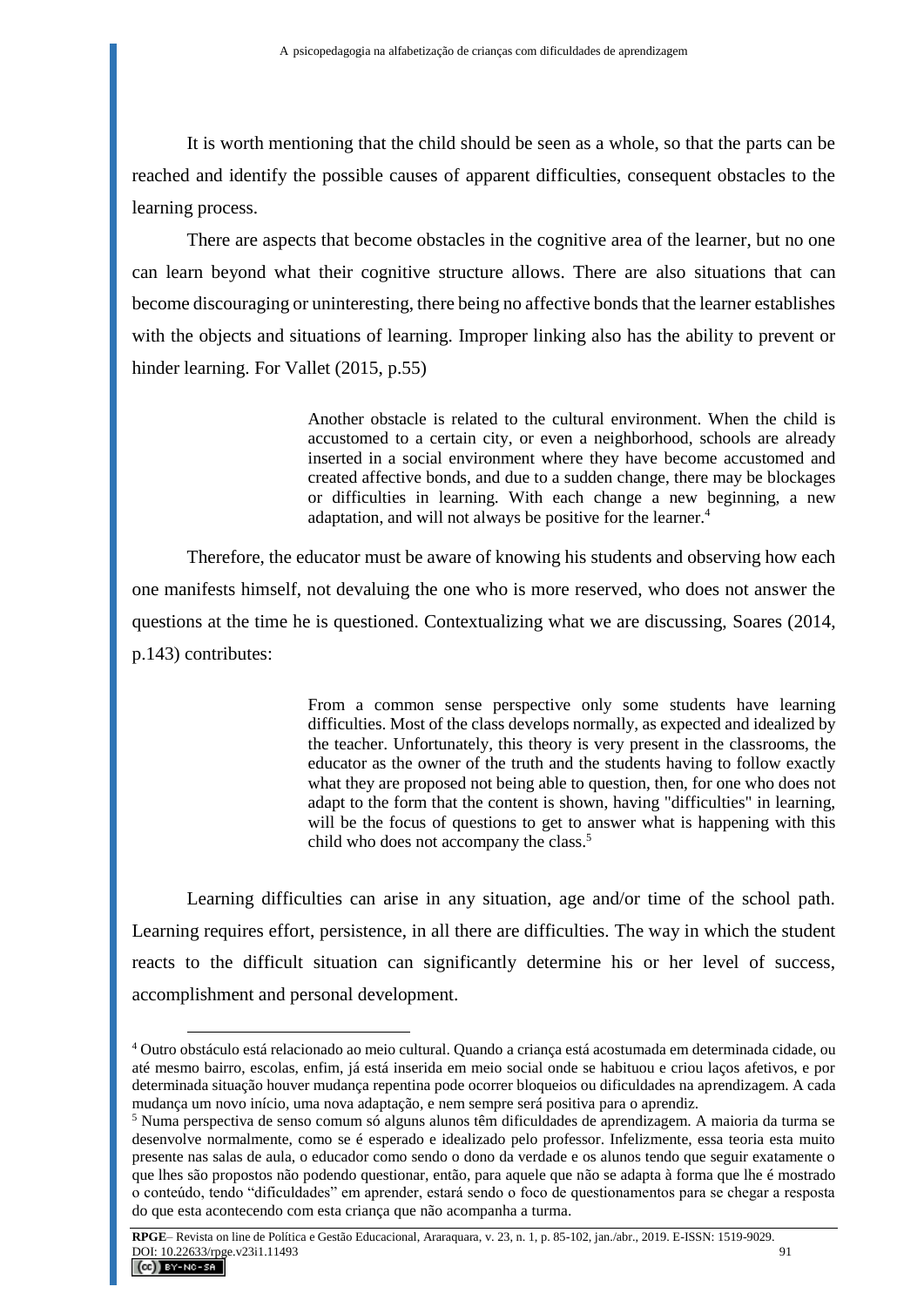It is worth mentioning that the child should be seen as a whole, so that the parts can be reached and identify the possible causes of apparent difficulties, consequent obstacles to the learning process.

There are aspects that become obstacles in the cognitive area of the learner, but no one can learn beyond what their cognitive structure allows. There are also situations that can become discouraging or uninteresting, there being no affective bonds that the learner establishes with the objects and situations of learning. Improper linking also has the ability to prevent or hinder learning. For Vallet (2015, p.55)

> Another obstacle is related to the cultural environment. When the child is accustomed to a certain city, or even a neighborhood, schools are already inserted in a social environment where they have become accustomed and created affective bonds, and due to a sudden change, there may be blockages or difficulties in learning. With each change a new beginning, a new adaptation, and will not always be positive for the learner.<sup>4</sup>

Therefore, the educator must be aware of knowing his students and observing how each one manifests himself, not devaluing the one who is more reserved, who does not answer the questions at the time he is questioned. Contextualizing what we are discussing, Soares (2014, p.143) contributes:

> From a common sense perspective only some students have learning difficulties. Most of the class develops normally, as expected and idealized by the teacher. Unfortunately, this theory is very present in the classrooms, the educator as the owner of the truth and the students having to follow exactly what they are proposed not being able to question, then, for one who does not adapt to the form that the content is shown, having "difficulties" in learning, will be the focus of questions to get to answer what is happening with this child who does not accompany the class.<sup>5</sup>

Learning difficulties can arise in any situation, age and/or time of the school path. Learning requires effort, persistence, in all there are difficulties. The way in which the student reacts to the difficult situation can significantly determine his or her level of success, accomplishment and personal development.

<sup>4</sup> Outro obstáculo está relacionado ao meio cultural. Quando a criança está acostumada em determinada cidade, ou até mesmo bairro, escolas, enfim, já está inserida em meio social onde se habituou e criou laços afetivos, e por determinada situação houver mudança repentina pode ocorrer bloqueios ou dificuldades na aprendizagem. A cada mudança um novo início, uma nova adaptação, e nem sempre será positiva para o aprendiz.

<sup>5</sup> Numa perspectiva de senso comum só alguns alunos têm dificuldades de aprendizagem. A maioria da turma se desenvolve normalmente, como se é esperado e idealizado pelo professor. Infelizmente, essa teoria esta muito presente nas salas de aula, o educador como sendo o dono da verdade e os alunos tendo que seguir exatamente o que lhes são propostos não podendo questionar, então, para aquele que não se adapta à forma que lhe é mostrado o conteúdo, tendo "dificuldades" em aprender, estará sendo o foco de questionamentos para se chegar a resposta do que esta acontecendo com esta criança que não acompanha a turma.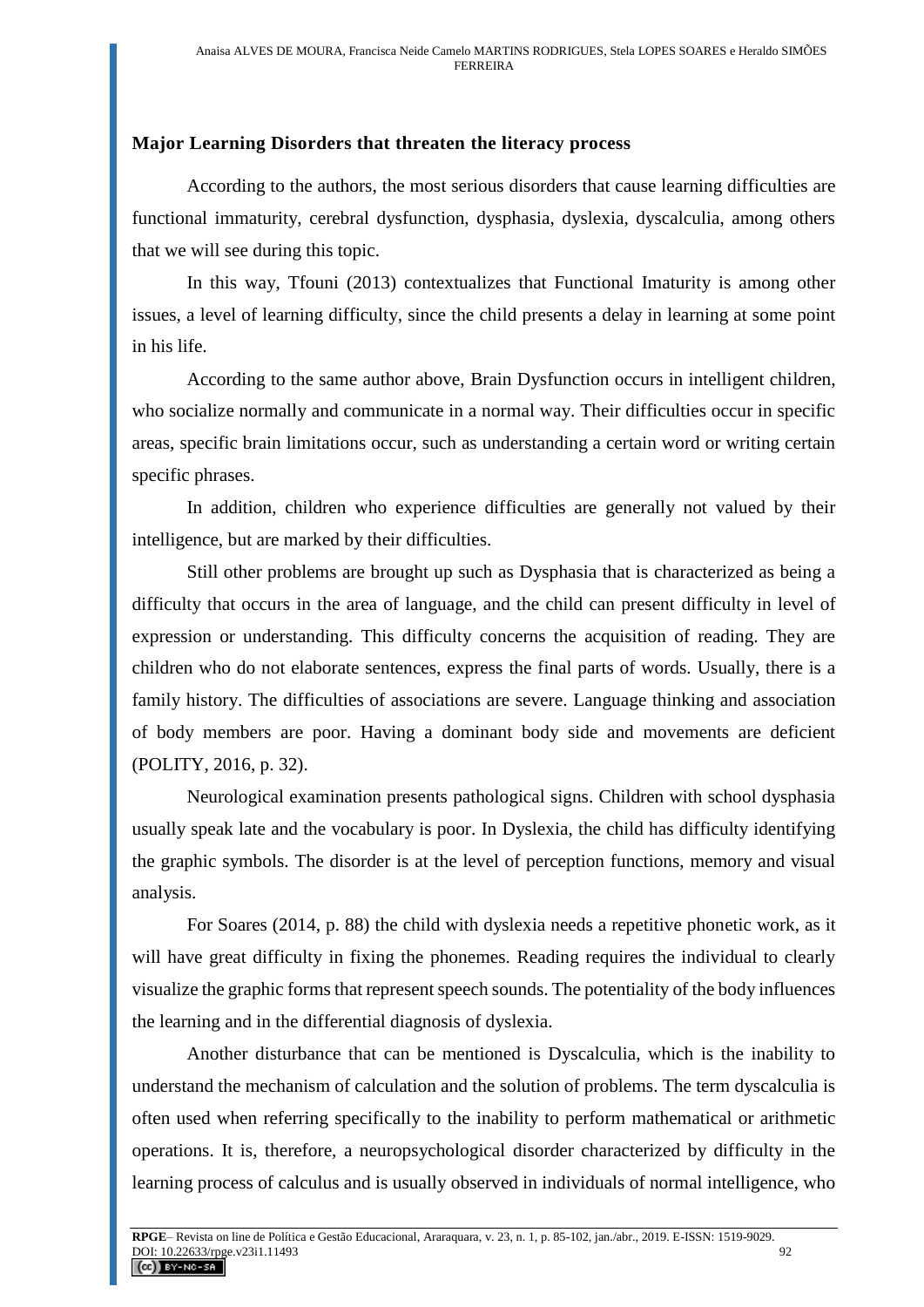#### **Major Learning Disorders that threaten the literacy process**

According to the authors, the most serious disorders that cause learning difficulties are functional immaturity, cerebral dysfunction, dysphasia, dyslexia, dyscalculia, among others that we will see during this topic.

In this way, Tfouni (2013) contextualizes that Functional Imaturity is among other issues, a level of learning difficulty, since the child presents a delay in learning at some point in his life.

According to the same author above, Brain Dysfunction occurs in intelligent children, who socialize normally and communicate in a normal way. Their difficulties occur in specific areas, specific brain limitations occur, such as understanding a certain word or writing certain specific phrases.

In addition, children who experience difficulties are generally not valued by their intelligence, but are marked by their difficulties.

Still other problems are brought up such as Dysphasia that is characterized as being a difficulty that occurs in the area of language, and the child can present difficulty in level of expression or understanding. This difficulty concerns the acquisition of reading. They are children who do not elaborate sentences, express the final parts of words. Usually, there is a family history. The difficulties of associations are severe. Language thinking and association of body members are poor. Having a dominant body side and movements are deficient (POLITY, 2016, p. 32).

Neurological examination presents pathological signs. Children with school dysphasia usually speak late and the vocabulary is poor. In Dyslexia, the child has difficulty identifying the graphic symbols. The disorder is at the level of perception functions, memory and visual analysis.

For Soares (2014, p. 88) the child with dyslexia needs a repetitive phonetic work, as it will have great difficulty in fixing the phonemes. Reading requires the individual to clearly visualize the graphic forms that represent speech sounds. The potentiality of the body influences the learning and in the differential diagnosis of dyslexia.

Another disturbance that can be mentioned is Dyscalculia, which is the inability to understand the mechanism of calculation and the solution of problems. The term dyscalculia is often used when referring specifically to the inability to perform mathematical or arithmetic operations. It is, therefore, a neuropsychological disorder characterized by difficulty in the learning process of calculus and is usually observed in individuals of normal intelligence, who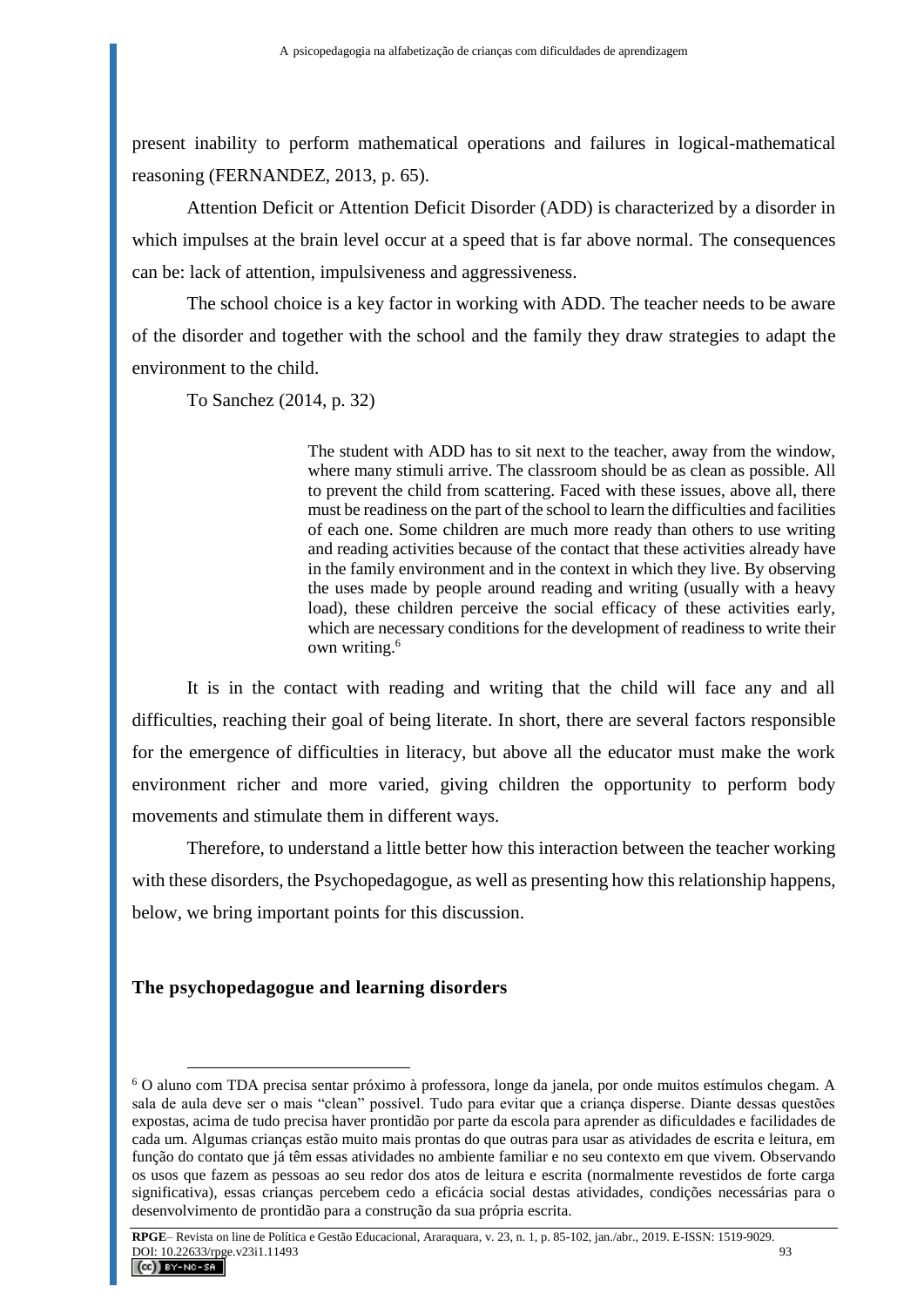present inability to perform mathematical operations and failures in logical-mathematical reasoning (FERNANDEZ, 2013, p. 65).

Attention Deficit or Attention Deficit Disorder (ADD) is characterized by a disorder in which impulses at the brain level occur at a speed that is far above normal. The consequences can be: lack of attention, impulsiveness and aggressiveness.

The school choice is a key factor in working with ADD. The teacher needs to be aware of the disorder and together with the school and the family they draw strategies to adapt the environment to the child.

To Sanchez (2014, p. 32)

The student with ADD has to sit next to the teacher, away from the window, where many stimuli arrive. The classroom should be as clean as possible. All to prevent the child from scattering. Faced with these issues, above all, there must be readiness on the part of the school to learn the difficulties and facilities of each one. Some children are much more ready than others to use writing and reading activities because of the contact that these activities already have in the family environment and in the context in which they live. By observing the uses made by people around reading and writing (usually with a heavy load), these children perceive the social efficacy of these activities early, which are necessary conditions for the development of readiness to write their own writing.<sup>6</sup>

It is in the contact with reading and writing that the child will face any and all difficulties, reaching their goal of being literate. In short, there are several factors responsible for the emergence of difficulties in literacy, but above all the educator must make the work environment richer and more varied, giving children the opportunity to perform body movements and stimulate them in different ways.

Therefore, to understand a little better how this interaction between the teacher working with these disorders, the Psychopedagogue, as well as presenting how this relationship happens, below, we bring important points for this discussion.

#### **The psychopedagogue and learning disorders**

<sup>6</sup> O aluno com TDA precisa sentar próximo à professora, longe da janela, por onde muitos estímulos chegam. A sala de aula deve ser o mais "clean" possível. Tudo para evitar que a criança disperse. Diante dessas questões expostas, acima de tudo precisa haver prontidão por parte da escola para aprender as dificuldades e facilidades de cada um. Algumas crianças estão muito mais prontas do que outras para usar as atividades de escrita e leitura, em função do contato que já têm essas atividades no ambiente familiar e no seu contexto em que vivem. Observando os usos que fazem as pessoas ao seu redor dos atos de leitura e escrita (normalmente revestidos de forte carga significativa), essas crianças percebem cedo a eficácia social destas atividades, condições necessárias para o desenvolvimento de prontidão para a construção da sua própria escrita.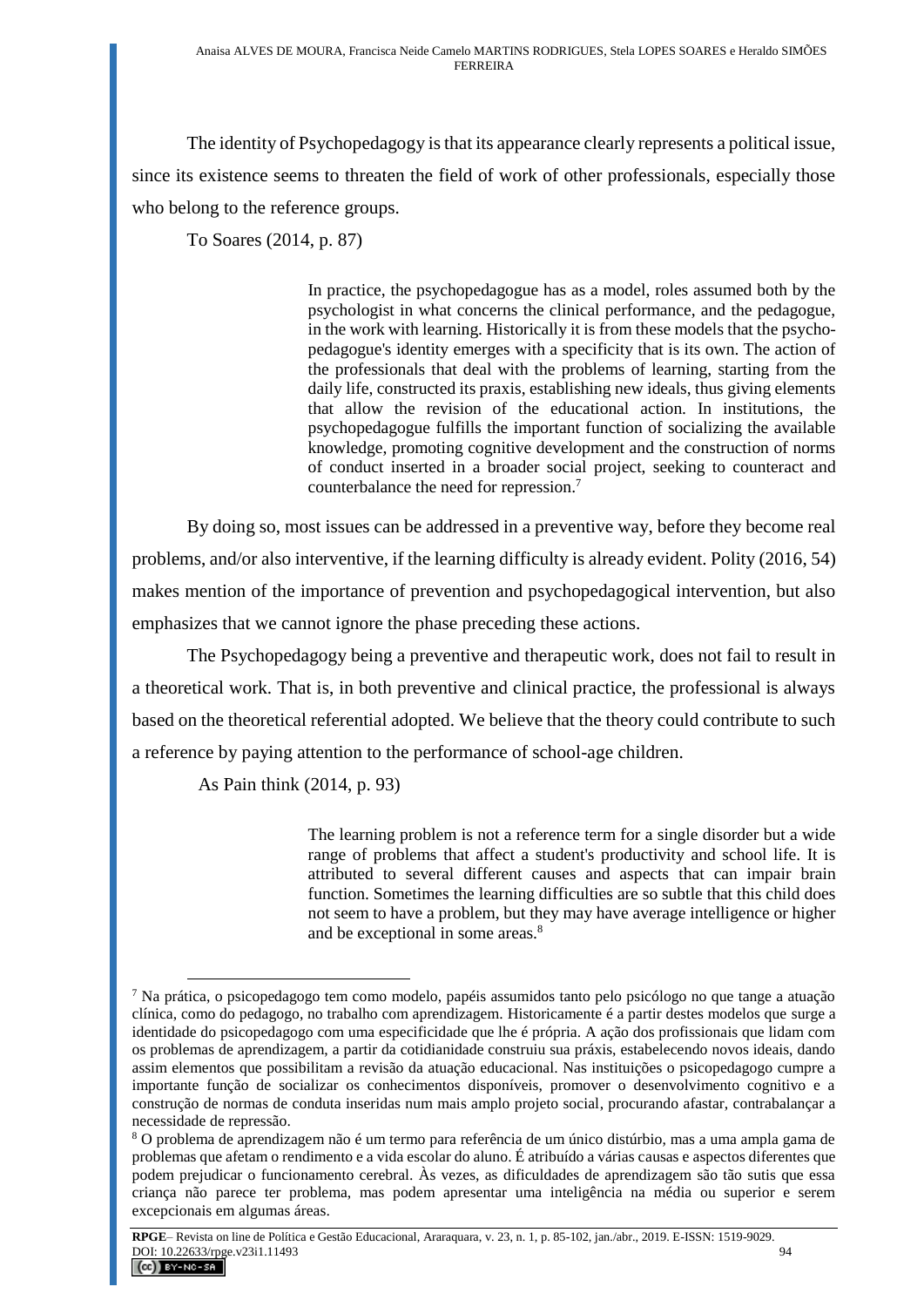The identity of Psychopedagogy is that its appearance clearly represents a political issue, since its existence seems to threaten the field of work of other professionals, especially those who belong to the reference groups.

To Soares (2014, p. 87)

In practice, the psychopedagogue has as a model, roles assumed both by the psychologist in what concerns the clinical performance, and the pedagogue, in the work with learning. Historically it is from these models that the psychopedagogue's identity emerges with a specificity that is its own. The action of the professionals that deal with the problems of learning, starting from the daily life, constructed its praxis, establishing new ideals, thus giving elements that allow the revision of the educational action. In institutions, the psychopedagogue fulfills the important function of socializing the available knowledge, promoting cognitive development and the construction of norms of conduct inserted in a broader social project, seeking to counteract and counterbalance the need for repression.<sup>7</sup>

By doing so, most issues can be addressed in a preventive way, before they become real problems, and/or also interventive, if the learning difficulty is already evident. Polity (2016, 54) makes mention of the importance of prevention and psychopedagogical intervention, but also emphasizes that we cannot ignore the phase preceding these actions.

The Psychopedagogy being a preventive and therapeutic work, does not fail to result in a theoretical work. That is, in both preventive and clinical practice, the professional is always based on the theoretical referential adopted. We believe that the theory could contribute to such a reference by paying attention to the performance of school-age children.

As Pain think (2014, p. 93)

The learning problem is not a reference term for a single disorder but a wide range of problems that affect a student's productivity and school life. It is attributed to several different causes and aspects that can impair brain function. Sometimes the learning difficulties are so subtle that this child does not seem to have a problem, but they may have average intelligence or higher and be exceptional in some areas.<sup>8</sup>

 $\overline{a}$ <sup>7</sup> Na prática, o psicopedagogo tem como modelo, papéis assumidos tanto pelo psicólogo no que tange a atuação clínica, como do pedagogo, no trabalho com aprendizagem. Historicamente é a partir destes modelos que surge a identidade do psicopedagogo com uma especificidade que lhe é própria. A ação dos profissionais que lidam com os problemas de aprendizagem, a partir da cotidianidade construiu sua práxis, estabelecendo novos ideais, dando assim elementos que possibilitam a revisão da atuação educacional. Nas instituições o psicopedagogo cumpre a importante função de socializar os conhecimentos disponíveis, promover o desenvolvimento cognitivo e a construção de normas de conduta inseridas num mais amplo projeto social, procurando afastar, contrabalançar a necessidade de repressão.

<sup>8</sup> O problema de aprendizagem não é um termo para referência de um único distúrbio, mas a uma ampla gama de problemas que afetam o rendimento e a vida escolar do aluno. É atribuído a várias causas e aspectos diferentes que podem prejudicar o funcionamento cerebral. Às vezes, as dificuldades de aprendizagem são tão sutis que essa criança não parece ter problema, mas podem apresentar uma inteligência na média ou superior e serem excepcionais em algumas áreas.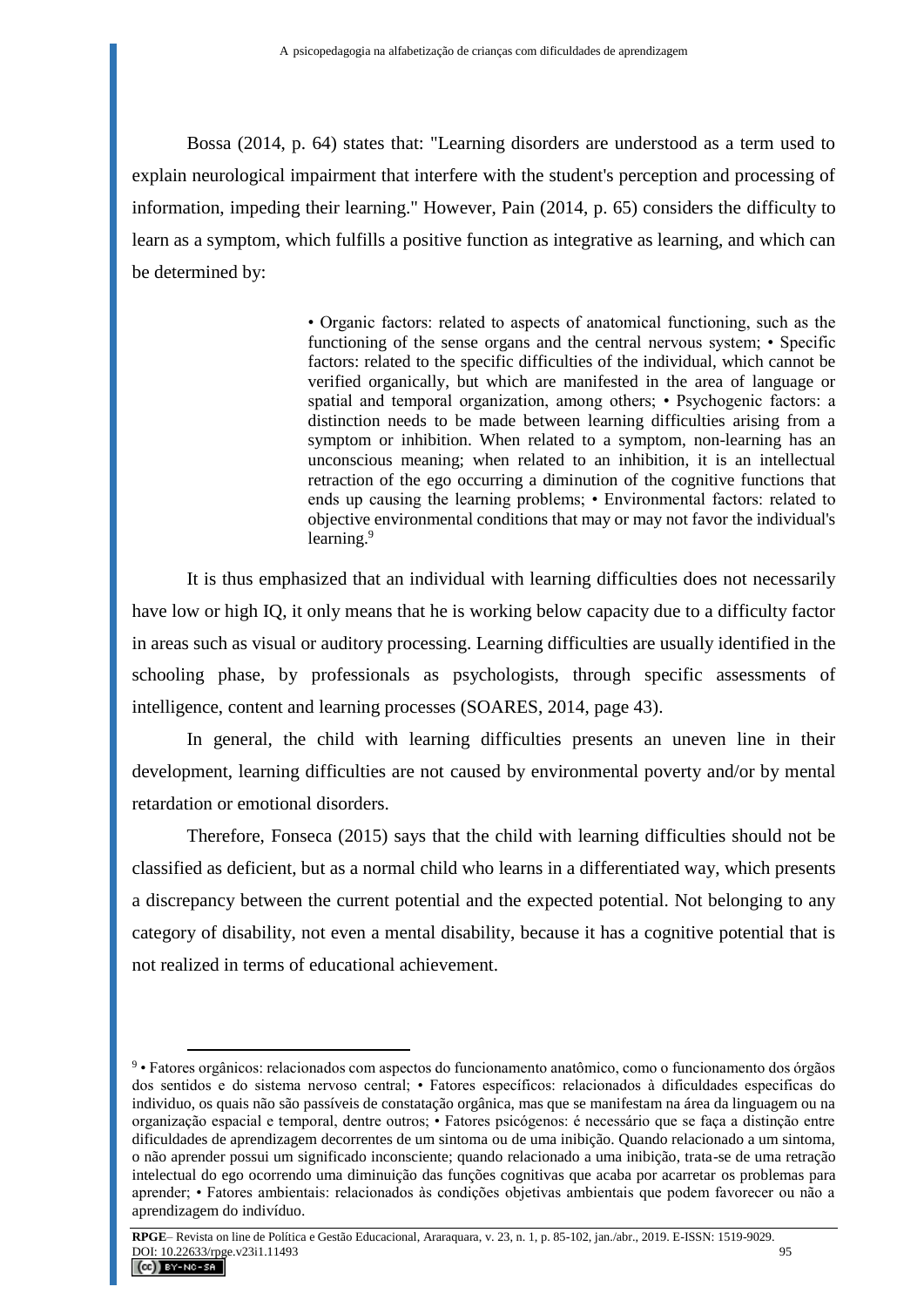Bossa (2014, p. 64) states that: "Learning disorders are understood as a term used to explain neurological impairment that interfere with the student's perception and processing of information, impeding their learning." However, Pain (2014, p. 65) considers the difficulty to learn as a symptom, which fulfills a positive function as integrative as learning, and which can be determined by:

> • Organic factors: related to aspects of anatomical functioning, such as the functioning of the sense organs and the central nervous system; • Specific factors: related to the specific difficulties of the individual, which cannot be verified organically, but which are manifested in the area of language or spatial and temporal organization, among others; • Psychogenic factors: a distinction needs to be made between learning difficulties arising from a symptom or inhibition. When related to a symptom, non-learning has an unconscious meaning; when related to an inhibition, it is an intellectual retraction of the ego occurring a diminution of the cognitive functions that ends up causing the learning problems; • Environmental factors: related to objective environmental conditions that may or may not favor the individual's learning.<sup>9</sup>

It is thus emphasized that an individual with learning difficulties does not necessarily have low or high IQ, it only means that he is working below capacity due to a difficulty factor in areas such as visual or auditory processing. Learning difficulties are usually identified in the schooling phase, by professionals as psychologists, through specific assessments of intelligence, content and learning processes (SOARES, 2014, page 43).

In general, the child with learning difficulties presents an uneven line in their development, learning difficulties are not caused by environmental poverty and/or by mental retardation or emotional disorders.

Therefore, Fonseca (2015) says that the child with learning difficulties should not be classified as deficient, but as a normal child who learns in a differentiated way, which presents a discrepancy between the current potential and the expected potential. Not belonging to any category of disability, not even a mental disability, because it has a cognitive potential that is not realized in terms of educational achievement.

<sup>9</sup> • Fatores orgânicos: relacionados com aspectos do funcionamento anatômico, como o funcionamento dos órgãos dos sentidos e do sistema nervoso central; • Fatores específicos: relacionados à dificuldades especificas do individuo, os quais não são passíveis de constatação orgânica, mas que se manifestam na área da linguagem ou na organização espacial e temporal, dentre outros; • Fatores psicógenos: é necessário que se faça a distinção entre dificuldades de aprendizagem decorrentes de um sintoma ou de uma inibição. Quando relacionado a um sintoma, o não aprender possui um significado inconsciente; quando relacionado a uma inibição, trata-se de uma retração intelectual do ego ocorrendo uma diminuição das funções cognitivas que acaba por acarretar os problemas para aprender; • Fatores ambientais: relacionados às condições objetivas ambientais que podem favorecer ou não a aprendizagem do indivíduo.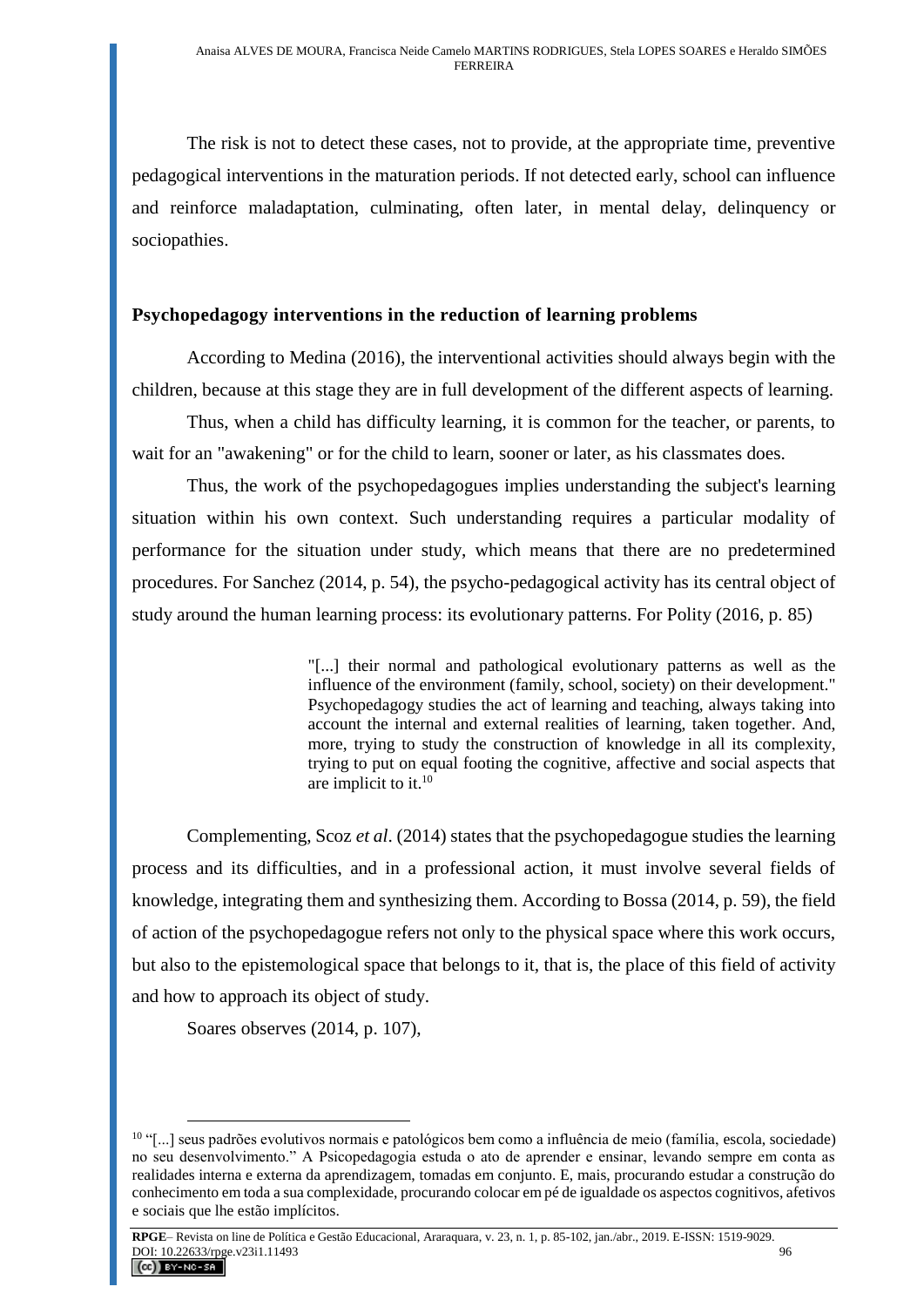The risk is not to detect these cases, not to provide, at the appropriate time, preventive pedagogical interventions in the maturation periods. If not detected early, school can influence and reinforce maladaptation, culminating, often later, in mental delay, delinquency or sociopathies.

## **Psychopedagogy interventions in the reduction of learning problems**

According to Medina (2016), the interventional activities should always begin with the children, because at this stage they are in full development of the different aspects of learning.

Thus, when a child has difficulty learning, it is common for the teacher, or parents, to wait for an "awakening" or for the child to learn, sooner or later, as his classmates does.

Thus, the work of the psychopedagogues implies understanding the subject's learning situation within his own context. Such understanding requires a particular modality of performance for the situation under study, which means that there are no predetermined procedures. For Sanchez (2014, p. 54), the psycho-pedagogical activity has its central object of study around the human learning process: its evolutionary patterns. For Polity (2016, p. 85)

> "[...] their normal and pathological evolutionary patterns as well as the influence of the environment (family, school, society) on their development." Psychopedagogy studies the act of learning and teaching, always taking into account the internal and external realities of learning, taken together. And, more, trying to study the construction of knowledge in all its complexity, trying to put on equal footing the cognitive, affective and social aspects that are implicit to it. $10$

Complementing, Scoz *et al*. (2014) states that the psychopedagogue studies the learning process and its difficulties, and in a professional action, it must involve several fields of knowledge, integrating them and synthesizing them. According to Bossa (2014, p. 59), the field of action of the psychopedagogue refers not only to the physical space where this work occurs, but also to the epistemological space that belongs to it, that is, the place of this field of activity and how to approach its object of study.

Soares observes (2014, p. 107),

 $10$  "[...] seus padrões evolutivos normais e patológicos bem como a influência de meio (família, escola, sociedade) no seu desenvolvimento." A Psicopedagogia estuda o ato de aprender e ensinar, levando sempre em conta as realidades interna e externa da aprendizagem, tomadas em conjunto. E, mais, procurando estudar a construção do conhecimento em toda a sua complexidade, procurando colocar em pé de igualdade os aspectos cognitivos, afetivos e sociais que lhe estão implícitos.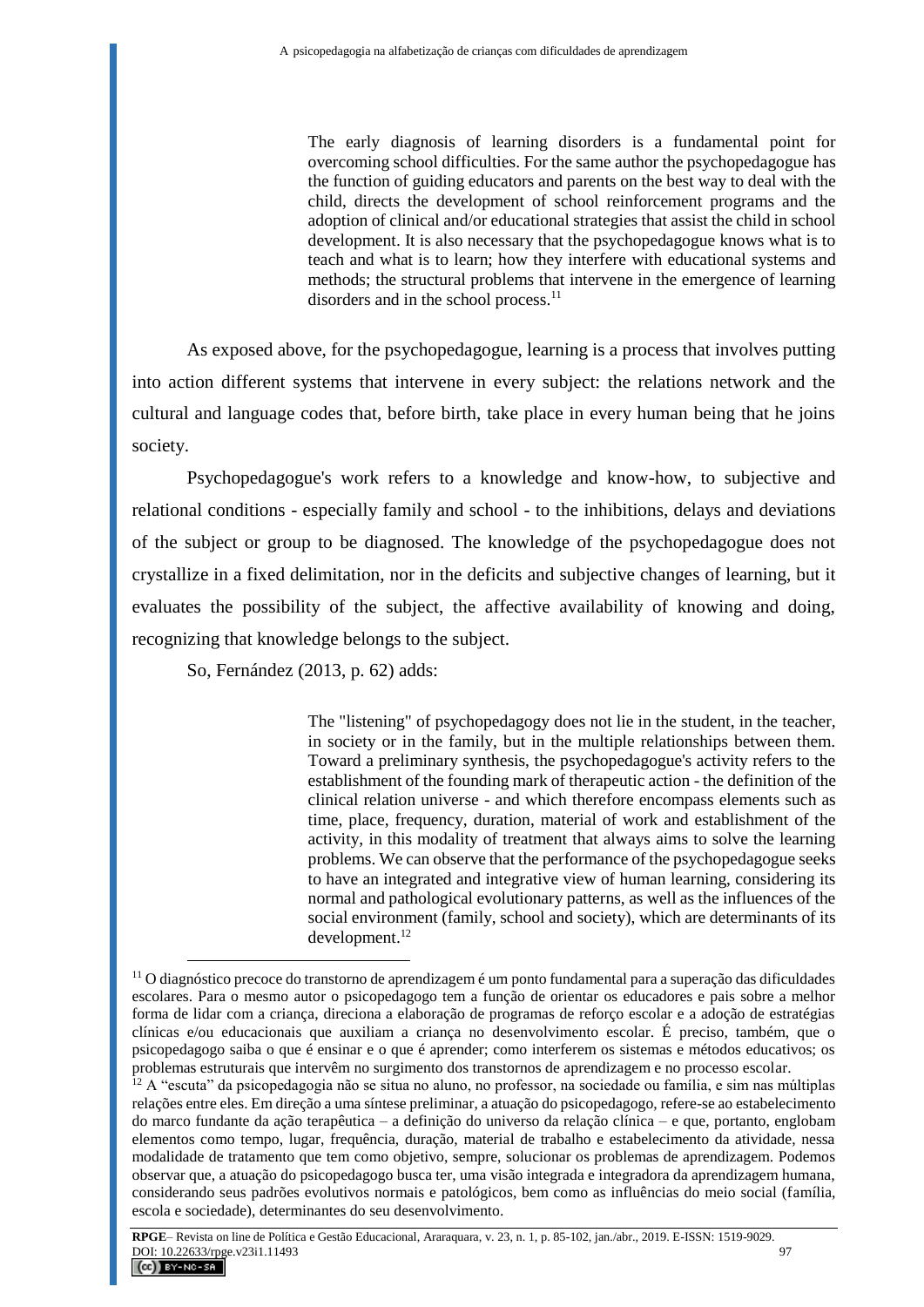The early diagnosis of learning disorders is a fundamental point for overcoming school difficulties. For the same author the psychopedagogue has the function of guiding educators and parents on the best way to deal with the child, directs the development of school reinforcement programs and the adoption of clinical and/or educational strategies that assist the child in school development. It is also necessary that the psychopedagogue knows what is to teach and what is to learn; how they interfere with educational systems and methods; the structural problems that intervene in the emergence of learning disorders and in the school process.<sup>11</sup>

As exposed above, for the psychopedagogue, learning is a process that involves putting into action different systems that intervene in every subject: the relations network and the cultural and language codes that, before birth, take place in every human being that he joins society.

Psychopedagogue's work refers to a knowledge and know-how, to subjective and relational conditions - especially family and school - to the inhibitions, delays and deviations of the subject or group to be diagnosed. The knowledge of the psychopedagogue does not crystallize in a fixed delimitation, nor in the deficits and subjective changes of learning, but it evaluates the possibility of the subject, the affective availability of knowing and doing, recognizing that knowledge belongs to the subject.

So, Fernández (2013, p. 62) adds:

The "listening" of psychopedagogy does not lie in the student, in the teacher, in society or in the family, but in the multiple relationships between them. Toward a preliminary synthesis, the psychopedagogue's activity refers to the establishment of the founding mark of therapeutic action - the definition of the clinical relation universe - and which therefore encompass elements such as time, place, frequency, duration, material of work and establishment of the activity, in this modality of treatment that always aims to solve the learning problems. We can observe that the performance of the psychopedagogue seeks to have an integrated and integrative view of human learning, considering its normal and pathological evolutionary patterns, as well as the influences of the social environment (family, school and society), which are determinants of its development.<sup>12</sup>

 $\overline{a}$  $11$  O diagnóstico precoce do transtorno de aprendizagem é um ponto fundamental para a superação das dificuldades escolares. Para o mesmo autor o psicopedagogo tem a função de orientar os educadores e pais sobre a melhor forma de lidar com a criança, direciona a elaboração de programas de reforço escolar e a adoção de estratégias clínicas e/ou educacionais que auxiliam a criança no desenvolvimento escolar. É preciso, também, que o psicopedagogo saiba o que é ensinar e o que é aprender; como interferem os sistemas e métodos educativos; os problemas estruturais que intervêm no surgimento dos transtornos de aprendizagem e no processo escolar.

 $^{12}$  A "escuta" da psicopedagogia não se situa no aluno, no professor, na sociedade ou família, e sim nas múltiplas relações entre eles. Em direção a uma síntese preliminar, a atuação do psicopedagogo, refere-se ao estabelecimento do marco fundante da ação terapêutica – a definição do universo da relação clínica – e que, portanto, englobam elementos como tempo, lugar, frequência, duração, material de trabalho e estabelecimento da atividade, nessa modalidade de tratamento que tem como objetivo, sempre, solucionar os problemas de aprendizagem. Podemos observar que, a atuação do psicopedagogo busca ter, uma visão integrada e integradora da aprendizagem humana, considerando seus padrões evolutivos normais e patológicos, bem como as influências do meio social (família, escola e sociedade), determinantes do seu desenvolvimento.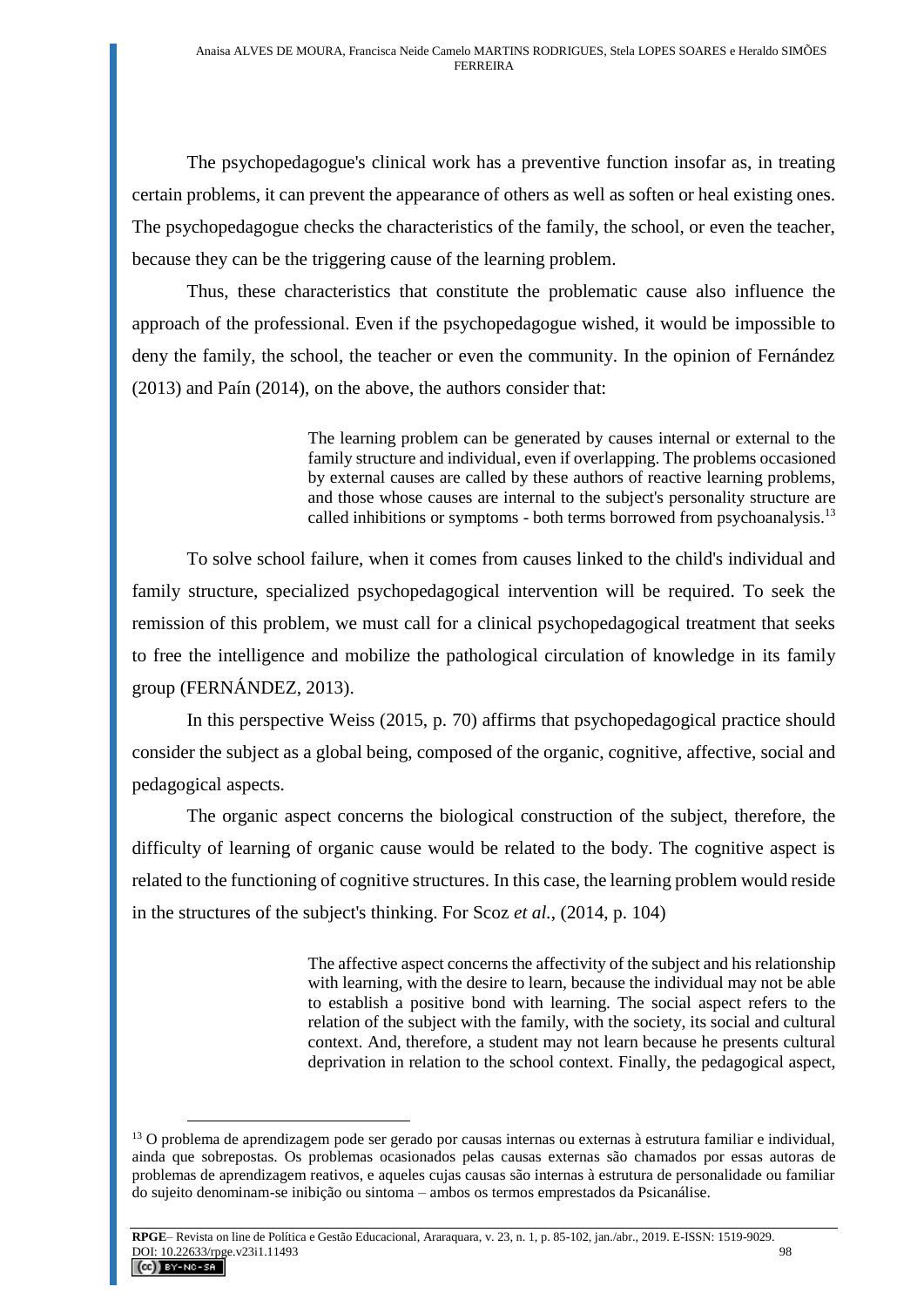The psychopedagogue's clinical work has a preventive function insofar as, in treating certain problems, it can prevent the appearance of others as well as soften or heal existing ones. The psychopedagogue checks the characteristics of the family, the school, or even the teacher, because they can be the triggering cause of the learning problem.

Thus, these characteristics that constitute the problematic cause also influence the approach of the professional. Even if the psychopedagogue wished, it would be impossible to deny the family, the school, the teacher or even the community. In the opinion of Fernández (2013) and Paín (2014), on the above, the authors consider that:

> The learning problem can be generated by causes internal or external to the family structure and individual, even if overlapping. The problems occasioned by external causes are called by these authors of reactive learning problems, and those whose causes are internal to the subject's personality structure are called inhibitions or symptoms - both terms borrowed from psychoanalysis.<sup>13</sup>

To solve school failure, when it comes from causes linked to the child's individual and family structure, specialized psychopedagogical intervention will be required. To seek the remission of this problem, we must call for a clinical psychopedagogical treatment that seeks to free the intelligence and mobilize the pathological circulation of knowledge in its family group (FERNÁNDEZ, 2013).

In this perspective Weiss (2015, p. 70) affirms that psychopedagogical practice should consider the subject as a global being, composed of the organic, cognitive, affective, social and pedagogical aspects.

The organic aspect concerns the biological construction of the subject, therefore, the difficulty of learning of organic cause would be related to the body. The cognitive aspect is related to the functioning of cognitive structures. In this case, the learning problem would reside in the structures of the subject's thinking. For Scoz *et al.*, (2014, p. 104)

> The affective aspect concerns the affectivity of the subject and his relationship with learning, with the desire to learn, because the individual may not be able to establish a positive bond with learning. The social aspect refers to the relation of the subject with the family, with the society, its social and cultural context. And, therefore, a student may not learn because he presents cultural deprivation in relation to the school context. Finally, the pedagogical aspect,

 $13$  O problema de aprendizagem pode ser gerado por causas internas ou externas à estrutura familiar e individual, ainda que sobrepostas. Os problemas ocasionados pelas causas externas são chamados por essas autoras de problemas de aprendizagem reativos, e aqueles cujas causas são internas à estrutura de personalidade ou familiar do sujeito denominam-se inibição ou sintoma – ambos os termos emprestados da Psicanálise.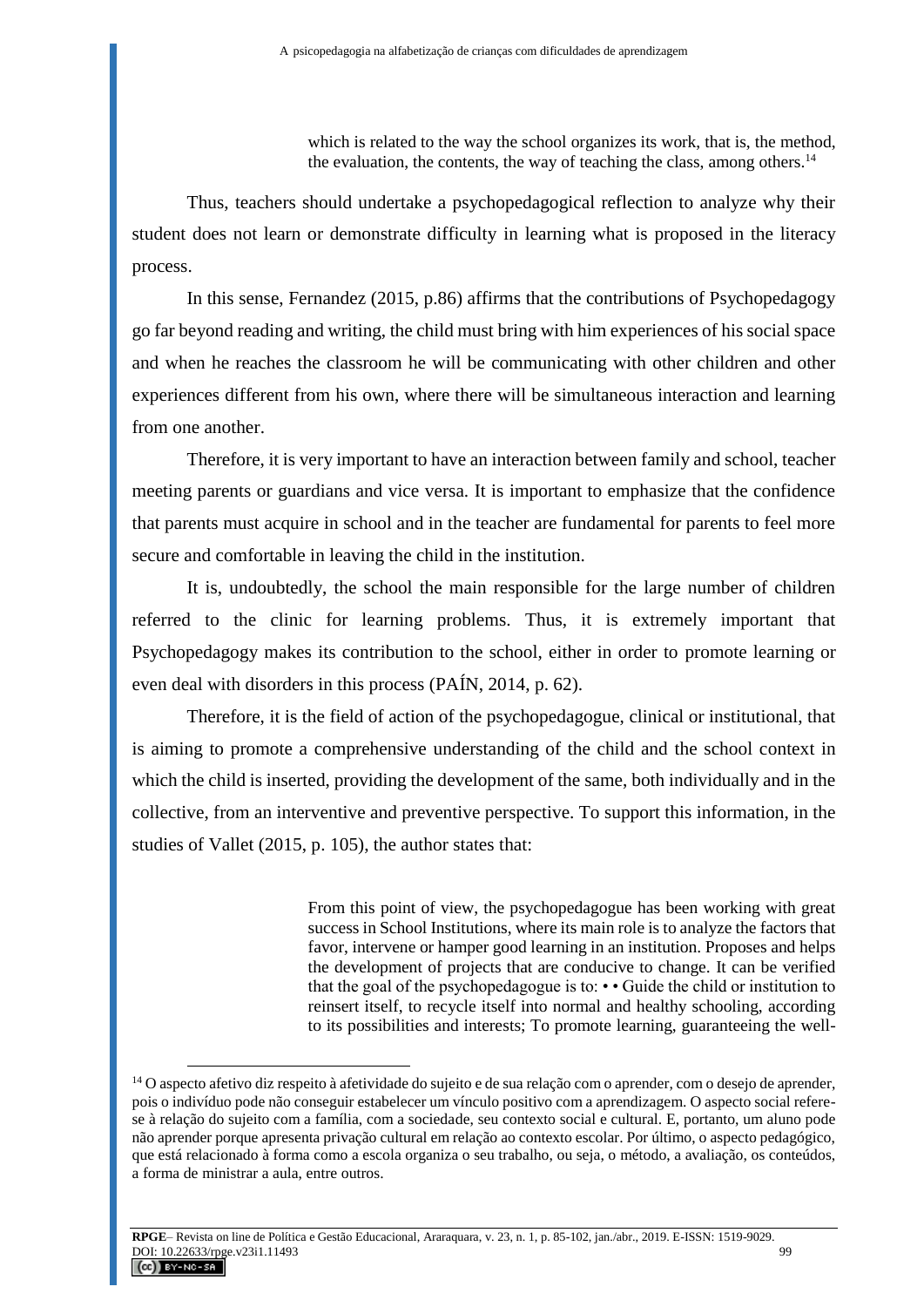which is related to the way the school organizes its work, that is, the method, the evaluation, the contents, the way of teaching the class, among others.<sup>14</sup>

Thus, teachers should undertake a psychopedagogical reflection to analyze why their student does not learn or demonstrate difficulty in learning what is proposed in the literacy process.

In this sense, Fernandez (2015, p.86) affirms that the contributions of Psychopedagogy go far beyond reading and writing, the child must bring with him experiences of his social space and when he reaches the classroom he will be communicating with other children and other experiences different from his own, where there will be simultaneous interaction and learning from one another.

Therefore, it is very important to have an interaction between family and school, teacher meeting parents or guardians and vice versa. It is important to emphasize that the confidence that parents must acquire in school and in the teacher are fundamental for parents to feel more secure and comfortable in leaving the child in the institution.

It is, undoubtedly, the school the main responsible for the large number of children referred to the clinic for learning problems. Thus, it is extremely important that Psychopedagogy makes its contribution to the school, either in order to promote learning or even deal with disorders in this process (PAÍN, 2014, p. 62).

Therefore, it is the field of action of the psychopedagogue, clinical or institutional, that is aiming to promote a comprehensive understanding of the child and the school context in which the child is inserted, providing the development of the same, both individually and in the collective, from an interventive and preventive perspective. To support this information, in the studies of Vallet (2015, p. 105), the author states that:

> From this point of view, the psychopedagogue has been working with great success in School Institutions, where its main role is to analyze the factors that favor, intervene or hamper good learning in an institution. Proposes and helps the development of projects that are conducive to change. It can be verified that the goal of the psychopedagogue is to: • • Guide the child or institution to reinsert itself, to recycle itself into normal and healthy schooling, according to its possibilities and interests; To promote learning, guaranteeing the well-

<sup>&</sup>lt;sup>14</sup> O aspecto afetivo diz respeito à afetividade do sujeito e de sua relação com o aprender, com o desejo de aprender, pois o indivíduo pode não conseguir estabelecer um vínculo positivo com a aprendizagem. O aspecto social referese à relação do sujeito com a família, com a sociedade, seu contexto social e cultural. E, portanto, um aluno pode não aprender porque apresenta privação cultural em relação ao contexto escolar. Por último, o aspecto pedagógico, que está relacionado à forma como a escola organiza o seu trabalho, ou seja, o método, a avaliação, os conteúdos, a forma de ministrar a aula, entre outros.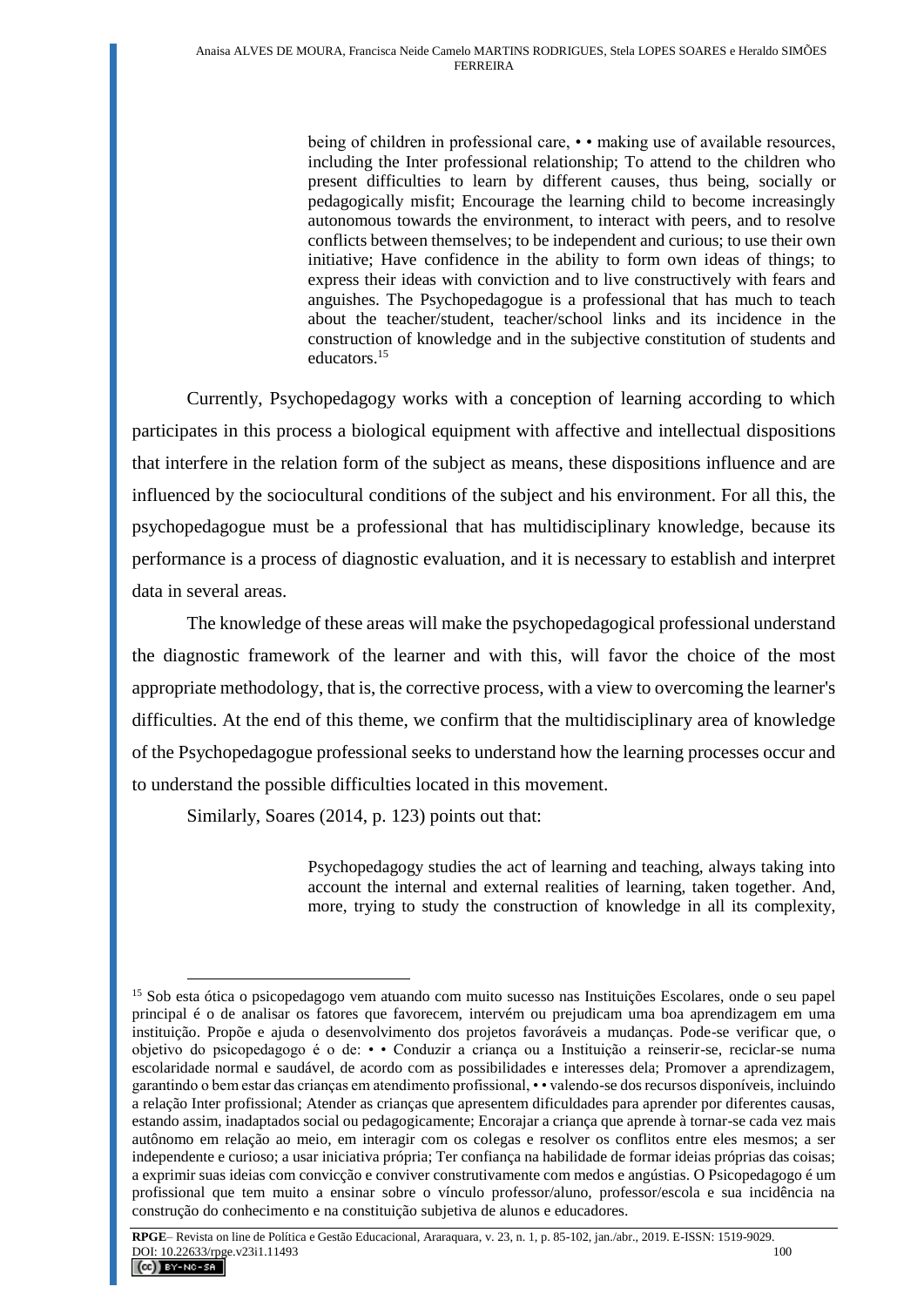being of children in professional care, • • making use of available resources, including the Inter professional relationship; To attend to the children who present difficulties to learn by different causes, thus being, socially or pedagogically misfit; Encourage the learning child to become increasingly autonomous towards the environment, to interact with peers, and to resolve conflicts between themselves; to be independent and curious; to use their own initiative; Have confidence in the ability to form own ideas of things; to express their ideas with conviction and to live constructively with fears and anguishes. The Psychopedagogue is a professional that has much to teach about the teacher/student, teacher/school links and its incidence in the construction of knowledge and in the subjective constitution of students and educators.<sup>15</sup>

Currently, Psychopedagogy works with a conception of learning according to which participates in this process a biological equipment with affective and intellectual dispositions that interfere in the relation form of the subject as means, these dispositions influence and are influenced by the sociocultural conditions of the subject and his environment. For all this, the psychopedagogue must be a professional that has multidisciplinary knowledge, because its performance is a process of diagnostic evaluation, and it is necessary to establish and interpret data in several areas.

The knowledge of these areas will make the psychopedagogical professional understand the diagnostic framework of the learner and with this, will favor the choice of the most appropriate methodology, that is, the corrective process, with a view to overcoming the learner's difficulties. At the end of this theme, we confirm that the multidisciplinary area of knowledge of the Psychopedagogue professional seeks to understand how the learning processes occur and to understand the possible difficulties located in this movement.

Similarly, Soares (2014, p. 123) points out that:

Psychopedagogy studies the act of learning and teaching, always taking into account the internal and external realities of learning, taken together. And, more, trying to study the construction of knowledge in all its complexity,

 $\overline{a}$ <sup>15</sup> Sob esta ótica o psicopedagogo vem atuando com muito sucesso nas Instituições Escolares, onde o seu papel principal é o de analisar os fatores que favorecem, intervém ou prejudicam uma boa aprendizagem em uma instituição. Propõe e ajuda o desenvolvimento dos projetos favoráveis a mudanças. Pode-se verificar que, o objetivo do psicopedagogo é o de: • • Conduzir a criança ou a Instituição a reinserir-se, reciclar-se numa escolaridade normal e saudável, de acordo com as possibilidades e interesses dela; Promover a aprendizagem, garantindo o bem estar das crianças em atendimento profissional, • • valendo-se dos recursos disponíveis, incluindo a relação Inter profissional; Atender as crianças que apresentem dificuldades para aprender por diferentes causas, estando assim, inadaptados social ou pedagogicamente; Encorajar a criança que aprende à tornar-se cada vez mais autônomo em relação ao meio, em interagir com os colegas e resolver os conflitos entre eles mesmos; a ser independente e curioso; a usar iniciativa própria; Ter confiança na habilidade de formar ideias próprias das coisas; a exprimir suas ideias com convicção e conviver construtivamente com medos e angústias. O Psicopedagogo é um profissional que tem muito a ensinar sobre o vínculo professor/aluno, professor/escola e sua incidência na construção do conhecimento e na constituição subjetiva de alunos e educadores.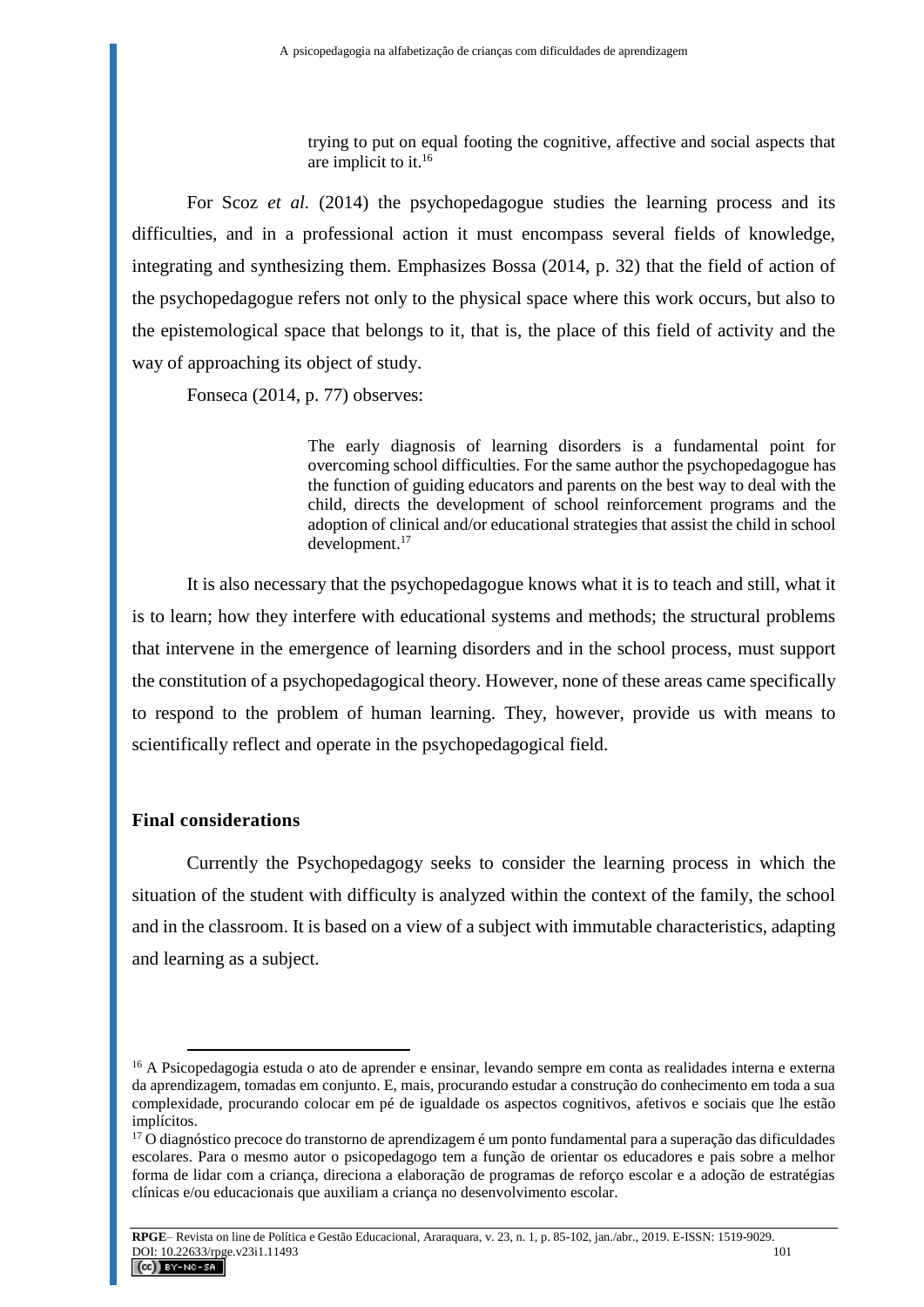trying to put on equal footing the cognitive, affective and social aspects that are implicit to it.<sup>16</sup>

For Scoz *et al.* (2014) the psychopedagogue studies the learning process and its difficulties, and in a professional action it must encompass several fields of knowledge, integrating and synthesizing them. Emphasizes Bossa (2014, p. 32) that the field of action of the psychopedagogue refers not only to the physical space where this work occurs, but also to the epistemological space that belongs to it, that is, the place of this field of activity and the way of approaching its object of study.

Fonseca (2014, p. 77) observes:

The early diagnosis of learning disorders is a fundamental point for overcoming school difficulties. For the same author the psychopedagogue has the function of guiding educators and parents on the best way to deal with the child, directs the development of school reinforcement programs and the adoption of clinical and/or educational strategies that assist the child in school development.<sup>17</sup>

It is also necessary that the psychopedagogue knows what it is to teach and still, what it is to learn; how they interfere with educational systems and methods; the structural problems that intervene in the emergence of learning disorders and in the school process, must support the constitution of a psychopedagogical theory. However, none of these areas came specifically to respond to the problem of human learning. They, however, provide us with means to scientifically reflect and operate in the psychopedagogical field.

#### **Final considerations**

 $\overline{a}$ 

Currently the Psychopedagogy seeks to consider the learning process in which the situation of the student with difficulty is analyzed within the context of the family, the school and in the classroom. It is based on a view of a subject with immutable characteristics, adapting and learning as a subject.

<sup>16</sup> A Psicopedagogia estuda o ato de aprender e ensinar, levando sempre em conta as realidades interna e externa da aprendizagem, tomadas em conjunto. E, mais, procurando estudar a construção do conhecimento em toda a sua complexidade, procurando colocar em pé de igualdade os aspectos cognitivos, afetivos e sociais que lhe estão implícitos.

 $17$  O diagnóstico precoce do transtorno de aprendizagem é um ponto fundamental para a superação das dificuldades escolares. Para o mesmo autor o psicopedagogo tem a função de orientar os educadores e pais sobre a melhor forma de lidar com a criança, direciona a elaboração de programas de reforço escolar e a adoção de estratégias clínicas e/ou educacionais que auxiliam a criança no desenvolvimento escolar.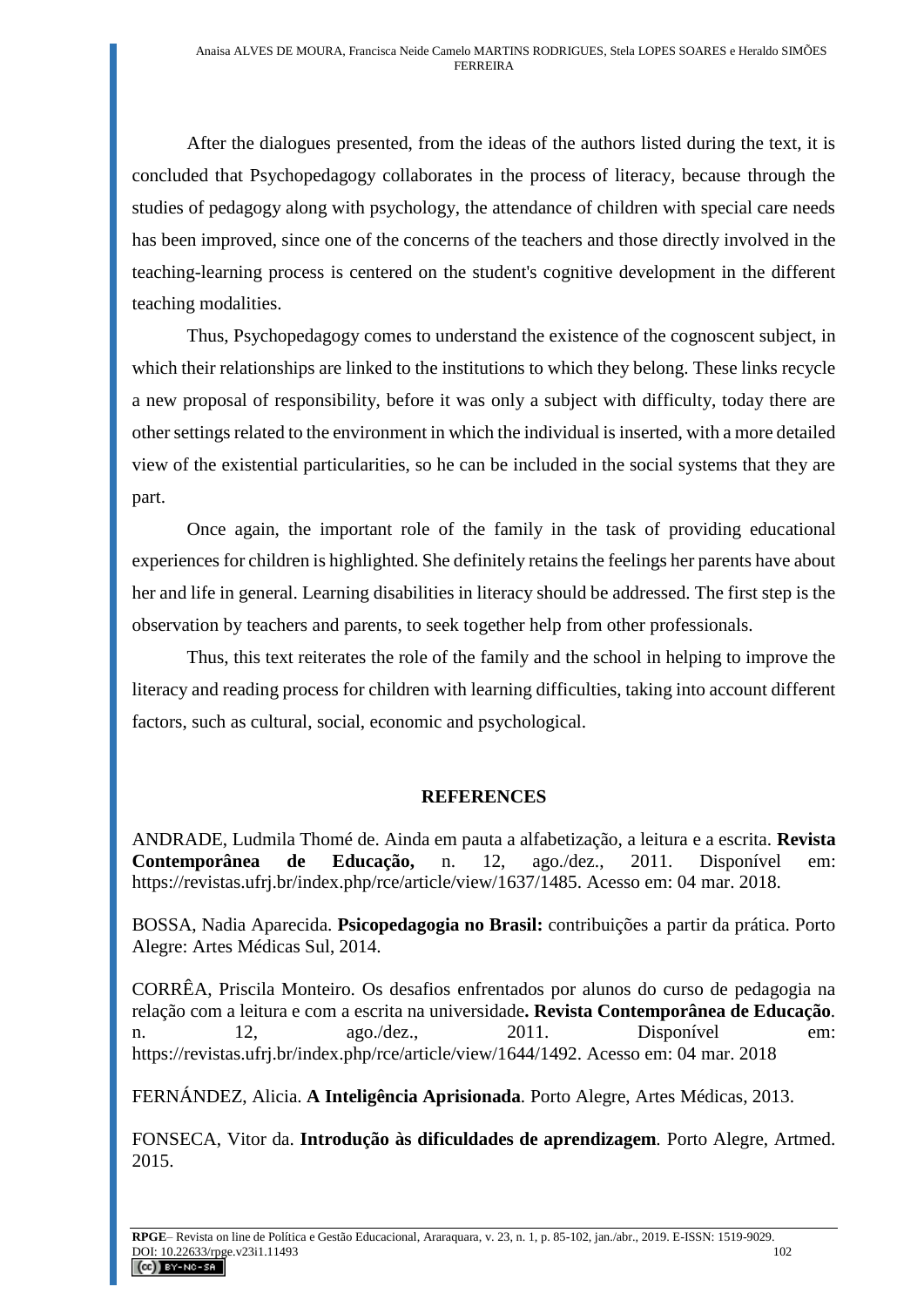After the dialogues presented, from the ideas of the authors listed during the text, it is concluded that Psychopedagogy collaborates in the process of literacy, because through the studies of pedagogy along with psychology, the attendance of children with special care needs has been improved, since one of the concerns of the teachers and those directly involved in the teaching-learning process is centered on the student's cognitive development in the different teaching modalities.

Thus, Psychopedagogy comes to understand the existence of the cognoscent subject, in which their relationships are linked to the institutions to which they belong. These links recycle a new proposal of responsibility, before it was only a subject with difficulty, today there are other settings related to the environment in which the individual is inserted, with a more detailed view of the existential particularities, so he can be included in the social systems that they are part.

Once again, the important role of the family in the task of providing educational experiences for children is highlighted. She definitely retains the feelings her parents have about her and life in general. Learning disabilities in literacy should be addressed. The first step is the observation by teachers and parents, to seek together help from other professionals.

Thus, this text reiterates the role of the family and the school in helping to improve the literacy and reading process for children with learning difficulties, taking into account different factors, such as cultural, social, economic and psychological.

## **REFERENCES**

ANDRADE, Ludmila Thomé de. Ainda em pauta a alfabetização, a leitura e a escrita. **Revista Contemporânea de Educação,** n. 12, ago./dez., 2011. Disponível em: https://revistas.ufrj.br/index.php/rce/article/view/1637/1485. Acesso em: 04 mar. 2018.

BOSSA, Nadia Aparecida. **Psicopedagogia no Brasil:** contribuições a partir da prática. Porto Alegre: Artes Médicas Sul, 2014.

CORRÊA, Priscila Monteiro. Os desafios enfrentados por alunos do curso de pedagogia na relação com a leitura e com a escrita na universidade**. Revista Contemporânea de Educação***.*  n. 12, ago./dez., 2011. Disponível em: https://revistas.ufrj.br/index.php/rce/article/view/1644/1492. Acesso em: 04 mar. 2018

FERNÁNDEZ, Alicia. **A Inteligência Aprisionada***.* Porto Alegre, Artes Médicas, 2013.

FONSECA, Vitor da. **Introdução às dificuldades de aprendizagem***.* Porto Alegre, Artmed. 2015.